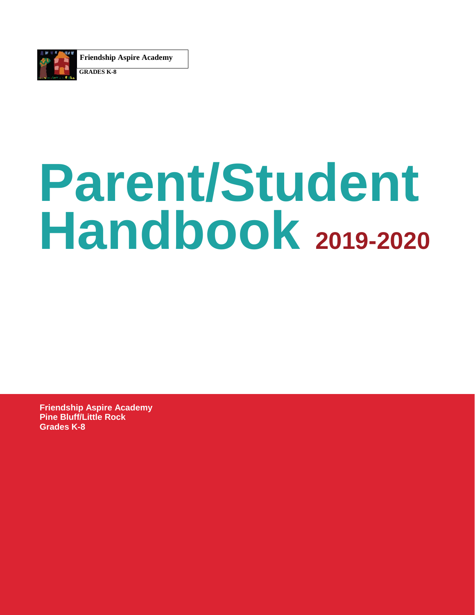

**Friendship Aspire Academy**

**GRADES K-8**

# **Parent/Student Handbook 2019-2020**

**Friendship Aspire Academy Pine Bluff/Little Rock Grades K-8**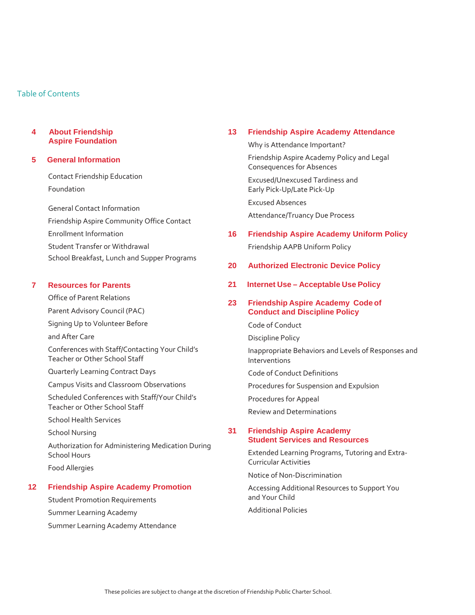### Table of Contents

#### **4 About Friendship Aspire Foundation**

#### **5 General Information**

Contact Friendship Education Foundation

General Contact Information Friendship Aspire Community Office Contact Enrollment Information Student Transfer or Withdrawal School Breakfast, Lunch and Supper Programs

#### **7 Resources for Parents**

Office of Parent Relations Parent Advisory Council (PAC) Signing Up to Volunteer Before and After Care Conferences with Staff/Contacting Your Child's Teacher or Other School Staff Quarterly Learning Contract Days Campus Visits and Classroom Observations Scheduled Conferences with Staff/Your Child's Teacher or Other School Staff School Health Services

School Nursing

Authorization for Administering Medication During School Hours Food Allergies

#### **12 Friendship Aspire Academy Promotion**

Student Promotion Requirements Summer Learning Academy Summer Learning Academy Attendance

#### **13 Friendship Aspire Academy Attendance**

Why is Attendance Important? Friendship Aspire Academy Policy and Legal Consequences for Absences Excused/Unexcused Tardiness and Early Pick-Up/Late Pick-Up Excused Absences Attendance/Truancy Due Process **16 Friendship Aspire Academy Uniform Policy** Friendship AAPB Uniform Policy **20 Authorized Electronic Device Policy 21 Internet Use – Acceptable Use Policy 23 Friendship Aspire Academy Code of Conduct and Discipline Policy** Code of Conduct Discipline Policy Inappropriate Behaviors and Levels of Responses and Interventions Code of Conduct Definitions Procedures for Suspension and Expulsion Procedures for Appeal

Review and Determinations

### **31 Friendship Aspire Academy Student Services and Resources**

Extended Learning Programs, Tutoring and Extra-Curricular Activities

Notice of Non-Discrimination

Accessing Additional Resources to Support You and Your Child

Additional Policies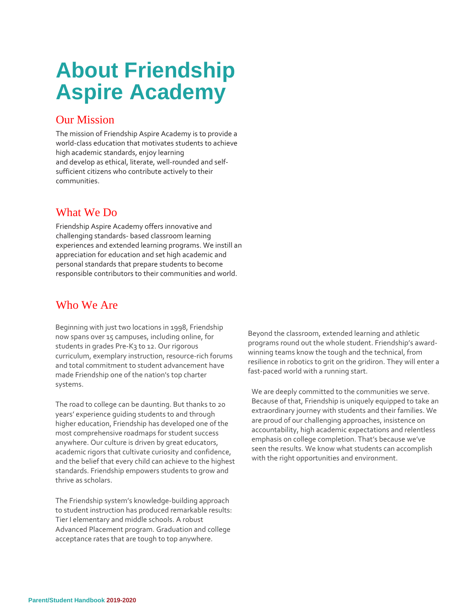## **About Friendship Aspire Academy**

## Our Mission

The mission of Friendship Aspire Academy is to provide a world-class education that motivates students to achieve high academic standards, enjoy learning and develop as ethical, literate, well-rounded and selfsufficient citizens who contribute actively to their communities.

## What We Do

Friendship Aspire Academy offers innovative and challenging standards- based classroom learning experiences and extended learning programs. We instill an appreciation for education and set high academic and personal standards that prepare students to become responsible contributors to their communities and world.

## Who We Are

Beginning with just two locations in 1998, Friendship now spans over 15 campuses, including online, for students in grades Pre-K3 to 12. Our rigorous curriculum, exemplary instruction, resource-rich forums and total commitment to student advancement have made Friendship one of the nation's top charter systems.

The road to college can be daunting. But thanks to 20 years' experience guiding students to and through higher education, Friendship has developed one of the most comprehensive roadmaps for student success anywhere. Our culture is driven by great educators, academic rigors that cultivate curiosity and confidence, and the belief that every child can achieve to the highest standards. Friendship empowers students to grow and thrive as scholars.

The Friendship system's knowledge-building approach to student instruction has produced remarkable results: Tier I elementary and middle schools. A robust Advanced Placement program. Graduation and college acceptance rates that are tough to top anywhere.

Beyond the classroom, extended learning and athletic programs round out the whole student. Friendship's awardwinning teams know the tough and the technical, from resilience in robotics to grit on the gridiron. They will enter a fast-paced world with a running start.

We are deeply committed to the communities we serve. Because of that, Friendship is uniquely equipped to take an extraordinary journey with students and their families. We are proud of our challenging approaches, insistence on accountability, high academic expectations and relentless emphasis on college completion. That's because we've seen the results. We know what students can accomplish with the right opportunities and environment.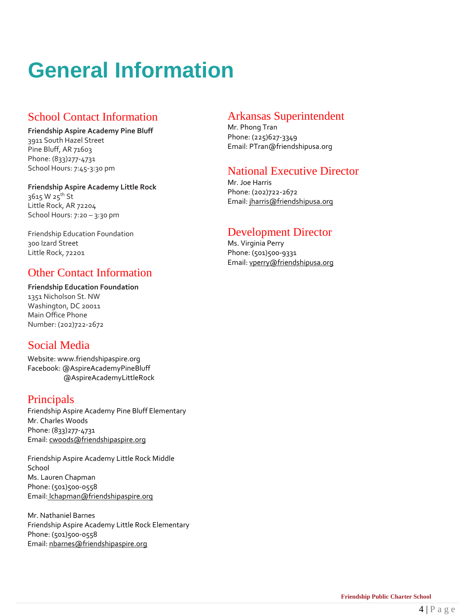## **General Information**

## School Contact Information

**Friendship Aspire Academy Pine Bluff** 3911 South Hazel Street Pine Bluff, AR 71603 Phone: (833)277-4731 School Hours: 7:45-3:30 pm

### **Friendship Aspire Academy Little Rock**

3615 W 25<sup>th</sup> St Little Rock, AR 72204 School Hours: 7:20 – 3:30 pm

Friendship Education Foundation 300 Izard Street Little Rock, 72201

## Other Contact Information

**Friendship Education Foundation** 1351 Nicholson St. NW

Washington, DC 20011 Main Office Phone Number: (202)722-2672

## Social Media

Website: www.friendshipaspire.org Facebook: @AspireAcademyPineBluff @AspireAcademyLittleRock

## Principals

Friendship Aspire Academy Pine Bluff Elementary Mr. Charles Woods Phone: (833)277-4731 Email: [cwoods@friendshipaspire.org](mailto:cwoods@friendshipaspire.org)

Friendship Aspire Academy Little Rock Middle School Ms. Lauren Chapman Phone: (501)500-0558 Email: [lchapman@friendshipaspire.org](mailto:lchapman@friendshipaspire.org)

Mr. Nathaniel Barnes Friendship Aspire Academy Little Rock Elementary Phone: (501)500-0558 Email: nbarnes@friendshipaspire.org

## Arkansas Superintendent

Mr. Phong Tran Phone: (225)627-3349 Email: PTran@friendshipusa.org

## National Executive Director

Mr. Joe Harris Phone: (202)722-2672 Email: [jharris@friendshipusa.org](mailto:jharris@friendshipusa.org)

## Development Director

Ms. Virginia Perry Phone: (501)500-9331 Email: [vperry@friendshipusa.org](mailto:vperry@friendshipusa.org)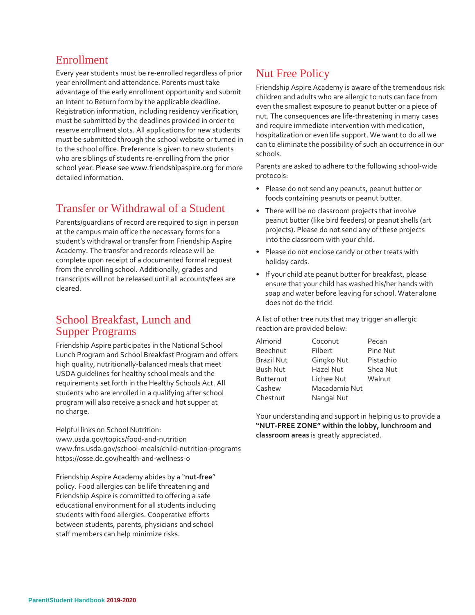## Enrollment

Every year students must be re-enrolled regardless of prior year enrollment and attendance. Parents must take advantage of the early enrollment opportunity and submit an Intent to Return form by the applicable deadline. Registration information, including residency verification, must be submitted by the deadlines provided in order to reserve enrollment slots. All applications for new students must be submitted through the school website or turned in to the school office. Preference is given to new students who are siblings of students re-enrolling from the prior school year. Please see www.friendshipaspire.org for more detailed information.

## Transfer or Withdrawal of a Student

Parents/guardians of record are required to sign in person at the campus main office the necessary forms for a student's withdrawal or transfer from Friendship Aspire Academy. The transfer and records release will be complete upon receipt of a documented formal request from the enrolling school. Additionally, grades and transcripts will not be released until all accounts/fees are cleared.

### School Breakfast, Lunch and Supper Programs

Friendship Aspire participates in the National School Lunch Program and School Breakfast Program and offers high quality, nutritionally-balanced meals that meet USDA guidelines for healthy school meals and the requirements set forth in the Healthy Schools Act. All students who are enrolled in a qualifying after school program will also receive a snack and hot supper at no charge.

Helpful links on School Nutrition: [www.usda.gov/topics/food-and-nutrition](http://www.usda.gov/topics/food-and-nutrition) [www.fns.usda.gov/school-meals/child-nutrition-programs](http://www.fns.usda.gov/school-meals/child-nutrition-programs) https://osse.dc.gov/health-and-wellness-0

Friendship Aspire Academy abides by a "**nut-free**" policy. Food allergies can be life threatening and Friendship Aspire is committed to offering a safe educational environment for all students including students with food allergies. Cooperative efforts between students, parents, physicians and school staff members can help minimize risks.

## Nut Free Policy

Friendship Aspire Academy is aware of the tremendous risk children and adults who are allergic to nuts can face from even the smallest exposure to peanut butter or a piece of nut. The consequences are life-threatening in many cases and require immediate intervention with medication, hospitalization or even life support. We want to do all we can to eliminate the possibility of such an occurrence in our schools.

Parents are asked to adhere to the following school-wide protocols:

- Please do not send any peanuts, peanut butter or foods containing peanuts or peanut butter.
- There will be no classroom projects that involve peanut butter (like bird feeders) or peanut shells (art projects). Please do not send any of these projects into the classroom with your child.
- Please do not enclose candy or other treats with holiday cards.
- If your child ate peanut butter for breakfast, please ensure that your child has washed his/her hands with soap and water before leaving for school. Water alone does not do the trick!

A list of other tree nuts that may trigger an allergic reaction are provided below:

| Almond          | Coconut       | Pecan     |
|-----------------|---------------|-----------|
| Beechnut        | Filbert       | Pine Nut  |
| Brazil Nut      | Gingko Nut    | Pistachio |
| <b>Bush Nut</b> | Hazel Nut     | Shea Nut  |
| Butternut       | Lichee Nut    | Walnut    |
| Cashew          | Macadamia Nut |           |
| Chestnut        | Nangai Nut    |           |

Your understanding and support in helping us to provide a **"NUT-FREE ZONE" within the lobby, lunchroom and classroom areas** is greatly appreciated.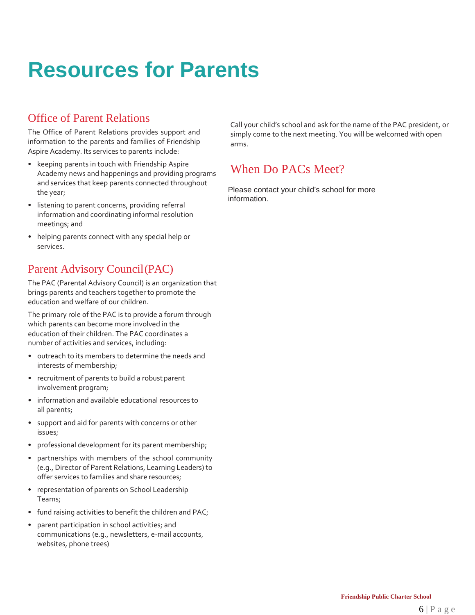## **Resources for Parents**

## Office of Parent Relations

The Office of Parent Relations provides support and information to the parents and families of Friendship Aspire Academy. Its services to parents include:

- keeping parents in touch with Friendship Aspire Academy news and happenings and providing programs and services that keep parents connected throughout the year;
- listening to parent concerns, providing referral information and coordinating informal resolution meetings; and
- helping parents connect with any special help or services.

## Parent Advisory Council(PAC)

The PAC (Parental Advisory Council) is an organization that brings parents and teachers together to promote the education and welfare of our children.

The primary role of the PAC is to provide a forum through which parents can become more involved in the education of their children. The PAC coordinates a number of activities and services, including:

- outreach to its members to determine the needs and interests of membership;
- recruitment of parents to build a robust parent involvement program;
- information and available educational resources to all parents;
- support and aid for parents with concerns or other issues;
- professional development for its parent membership;
- partnerships with members of the school community (e.g., Director of Parent Relations, Learning Leaders) to offer services to families and share resources;
- representation of parents on School Leadership Teams;
- fund raising activities to benefit the children and PAC;
- parent participation in school activities; and communications (e.g., newsletters, e-mail accounts, websites, phone trees)

Call your child's school and ask for the name of the PAC president, or simply come to the next meeting. You will be welcomed with open arms.

## When Do PACs Meet?

Please contact your child's school for more information.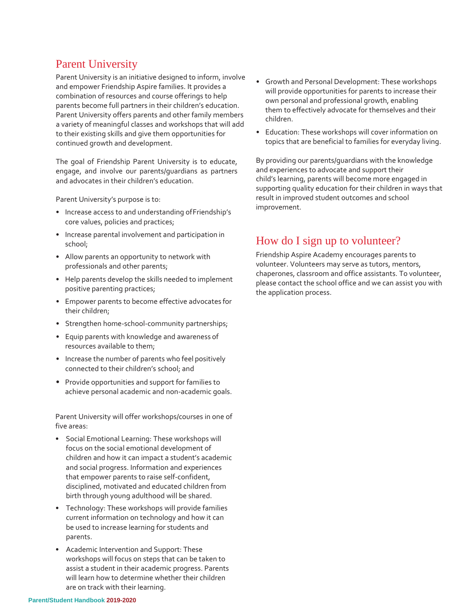## Parent University

Parent University is an initiative designed to inform, involve and empower Friendship Aspire families. It provides a combination of resources and course offerings to help parents become full partners in their children's education. Parent University offers parents and other family members a variety of meaningful classes and workshops that will add to their existing skills and give them opportunities for continued growth and development.

The goal of Friendship Parent University is to educate, engage, and involve our parents/guardians as partners and advocates in their children's education.

Parent University's purpose is to:

- Increase access to and understanding ofFriendship's core values, policies and practices;
- Increase parental involvement and participation in school;
- Allow parents an opportunity to network with professionals and other parents;
- Help parents develop the skills needed to implement positive parenting practices;
- Empower parents to become effective advocates for their children;
- Strengthen home-school-community partnerships;
- Equip parents with knowledge and awareness of resources available to them;
- Increase the number of parents who feel positively connected to their children's school; and
- Provide opportunities and support for families to achieve personal academic and non-academic goals.

Parent University will offer workshops/courses in one of five areas:

- Social Emotional Learning: These workshops will focus on the social emotional development of children and how it can impact a student's academic and social progress. Information and experiences that empower parents to raise self-confident, disciplined, motivated and educated children from birth through young adulthood will be shared.
- Technology: These workshops will provide families current information on technology and how it can be used to increase learning for students and parents.
- Academic Intervention and Support: These workshops will focus on steps that can be taken to assist a student in their academic progress. Parents will learn how to determine whether their children are on track with their learning.
- Growth and Personal Development: These workshops will provide opportunities for parents to increase their own personal and professional growth, enabling them to effectively advocate for themselves and their children.
- Education: These workshops will cover information on topics that are beneficial to families for everyday living.

By providing our parents/guardians with the knowledge and experiences to advocate and support their child's learning, parents will become more engaged in supporting quality education for their children in ways that result in improved student outcomes and school improvement.

## How do I sign up to volunteer?

Friendship Aspire Academy encourages parents to volunteer. Volunteers may serve as tutors, mentors, chaperones, classroom and office assistants. To volunteer, please contact the school office and we can assist you with the application process.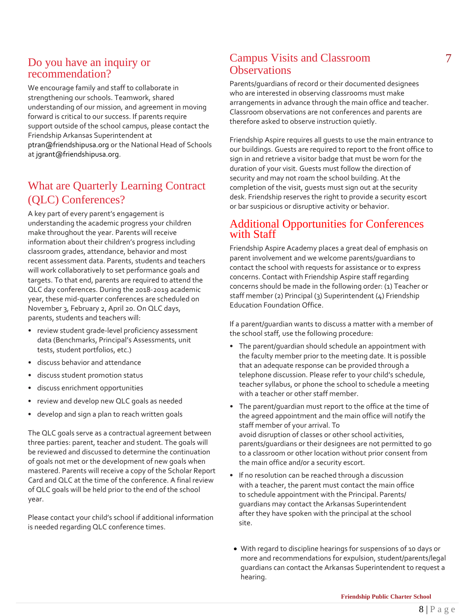## Do you have an inquiry or recommendation?

We encourage family and staff to collaborate in strengthening our schools. Teamwork, shared understanding of our mission, and agreement in moving forward is critical to our success. If parents require support outside of the school campus, please contact the Friendship Arkansas Superintendent at [ptran@friendshipusa.org](mailto:ptran@friendshipusa.org) or the National Head of Schools at [jgrant@friendshipusa.org.](mailto:jgrant@friendshipusa.org)

## What are Quarterly Learning Contract (QLC) Conferences?

A key part of every parent's engagement is understanding the academic progress your children make throughout the year. Parents will receive information about their children's progress including classroom grades, attendance, behavior and most recent assessment data. Parents, students and teachers will work collaboratively to set performance goals and targets. To that end, parents are required to attend the QLC day conferences. During the 2018-2019 academic year, these mid-quarter conferences are scheduled on November 3, February 2, April 20. On QLC days, parents, students and teachers will:

- review student grade-level proficiency assessment data (Benchmarks, Principal's Assessments, unit tests, student portfolios, etc.)
- discuss behavior and attendance
- discuss student promotion status
- discuss enrichment opportunities
- review and develop new QLC goals as needed
- develop and sign a plan to reach written goals

The QLC goals serve as a contractual agreement between three parties: parent, teacher and student. The goals will be reviewed and discussed to determine the continuation of goals not met or the development of new goals when mastered. Parents will receive a copy of the Scholar Report Card and QLC at the time of the conference. A final review of QLC goals will be held prior to the end of the school year.

Please contact your child's school if additional information is needed regarding QLC conference times.

## Campus Visits and Classroom 7 **Observations**

Parents/guardians of record or their documented designees who are interested in observing classrooms must make arrangements in advance through the main office and teacher. Classroom observations are not conferences and parents are therefore asked to observe instruction quietly.

Friendship Aspire requires all guests to use the main entrance to our buildings. Guests are required to report to the front office to sign in and retrieve a visitor badge that must be worn for the duration of your visit. Guests must follow the direction of security and may not roam the school building. At the completion of the visit, guests must sign out at the security desk. Friendship reserves the right to provide a security escort or bar suspicious or disruptive activity or behavior.

## Additional Opportunities for Conferences with Staff

Friendship Aspire Academy places a great deal of emphasis on parent involvement and we welcome parents/guardians to contact the school with requests for assistance or to express concerns. Contact with Friendship Aspire staff regarding concerns should be made in the following order: (1) Teacher or staff member (2) Principal (3) Superintendent (4) Friendship Education Foundation Office.

If a parent/guardian wants to discuss a matter with a member of the school staff, use the following procedure:

- The parent/guardian should schedule an appointment with the faculty member prior to the meeting date. It is possible that an adequate response can be provided through a telephone discussion. Please refer to your child's schedule, teacher syllabus, or phone the school to schedule a meeting with a teacher or other staff member.
- The parent/guardian must report to the office at the time of the agreed appointment and the main office will notify the staff member of your arrival. To avoid disruption of classes or other school activities, parents/guardians or their designees are not permitted to go to a classroom or other location without prior consent from the main office and/or a security escort.
- If no resolution can be reached through a discussion with a teacher, the parent must contact the main office to schedule appointment with the Principal. Parents/ guardians may contact the Arkansas Superintendent after they have spoken with the principal at the school site.
- With regard to discipline hearings for suspensions of 10 days or more and recommendations for expulsion, student/parents/legal guardians can contact the Arkansas Superintendent to request a hearing.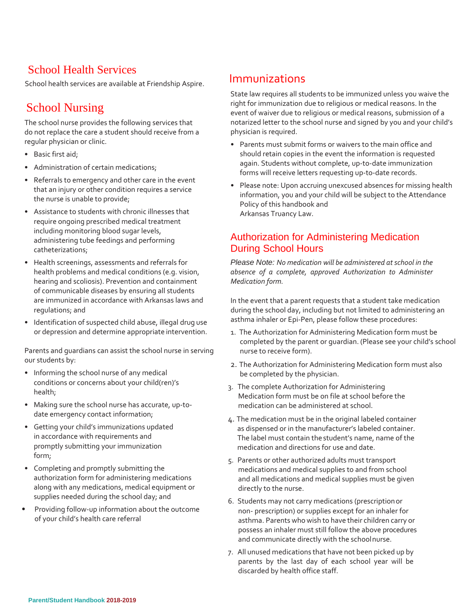## School Health Services

School health services are available at Friendship Aspire.

## School Nursing

The school nurse provides the following services that do not replace the care a student should receive from a regular physician or clinic.

- Basic first aid;
- Administration of certain medications;
- Referrals to emergency and other care in the event that an injury or other condition requires a service the nurse is unable to provide;
- Assistance to students with chronic illnesses that require ongoing prescribed medical treatment including monitoring blood sugar levels, administering tube feedings and performing catheterizations;
- Health screenings, assessments and referrals for health problems and medical conditions (e.g. vision, hearing and scoliosis). Prevention and containment of communicable diseases by ensuring all students are immunized in accordance with Arkansas laws and regulations; and
- Identification of suspected child abuse, illegal drug use or depression and determine appropriate intervention.

Parents and guardians can assist the school nurse in serving our students by:

- Informing the school nurse of any medical conditions or concerns about your child(ren)'s health;
- Making sure the school nurse has accurate, up-todate emergency contact information;
- Getting your child's immunizations updated in accordance with requirements and promptly submitting your immunization form;
- Completing and promptly submitting the authorization form for administering medications along with any medications, medical equipment or supplies needed during the school day; and
- Providing follow-up information about the outcome of your child's health care referral

## Immunizations

State law requires all students to be immunized unless you waive the right for immunization due to religious or medical reasons. In the event of waiver due to religious or medical reasons, submission of a notarized letter to the school nurse and signed by you and your child's physician is required.

- Parents must submit forms or waivers to the main office and should retain copies in the event the information is requested again. Students without complete, up-to-date immunization forms will receive letters requesting up-to-date records.
- Please note: Upon accruing unexcused absences for missing health information, you and your child will be subject to the Attendance Policy of this handbook and Arkansas Truancy Law.

## Authorization for Administering Medication During School Hours

*Please Note: No medication will be administered atschool in the absence of a complete, approved Authorization to Administer Medication form.*

In the event that a parent requests that a student take medication during the school day, including but not limited to administering an asthma inhaler or Epi-Pen, please follow these procedures:

- 1. The Authorization for Administering Medication form must be completed by the parent or guardian. (Please see your child's school nurse to receive form).
- 2. The Authorization for Administering Medication form must also be completed by the physician.
- 3. The complete Authorization for Administering Medication form must be on file at school before the medication can be administered at school.
- 4. The medication must be in the original labeled container as dispensed or in the manufacturer's labeled container. The label must contain the student's name, name of the medication and directions for use and date.
- 5. Parents or other authorized adults must transport medications and medical supplies to and from school and all medications and medical supplies must be given directly to the nurse.
- 6. Students may not carry medications (prescriptionor non- prescription) or supplies except for an inhaler for asthma. Parents who wish to have their children carry or possess an inhaler must still follow the above procedures and communicate directly with the schoolnurse.
- 7. All unused medications that have not been picked up by parents by the last day of each school year will be discarded by health office staff.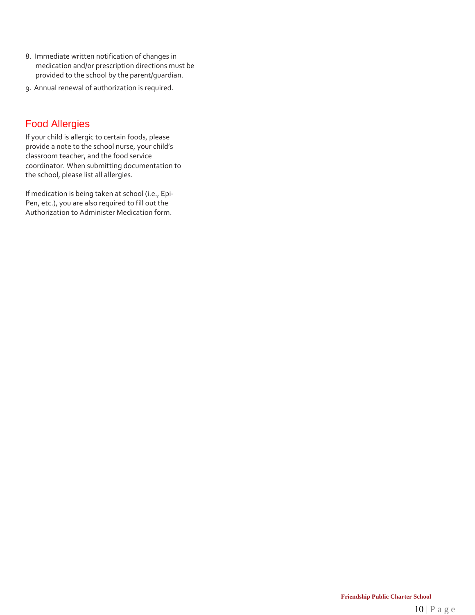- 8. Immediate written notification of changes in medication and/or prescription directions must be provided to the school by the parent/guardian.
- 9. Annual renewal of authorization is required.

## Food Allergies

If your child is allergic to certain foods, please provide a note to the school nurse, your child's classroom teacher, and the food service coordinator. When submitting documentation to the school, please list all allergies.

If medication is being taken at school (i.e., Epi-Pen, etc.), you are also required to fill out the Authorization to Administer Medication form.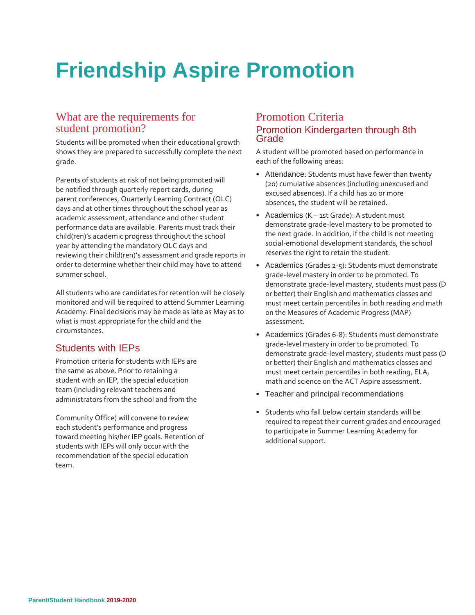## **Friendship Aspire Promotion**

## What are the requirements for student promotion?

Students will be promoted when their educational growth shows they are prepared to successfully complete the next grade.

Parents of students at risk of not being promoted will be notified through quarterly report cards, during parent conferences, Quarterly Learning Contract (QLC) days and at other times throughout the school year as academic assessment, attendance and other student performance data are available. Parents must track their child(ren)'s academic progress throughout the school year by attending the mandatory QLC days and reviewing their child(ren)'s assessment and grade reports in order to determine whether their child may have to attend summer school.

All students who are candidates for retention will be closely monitored and will be required to attend Summer Learning Academy. Final decisions may be made as late as May as to what is most appropriate for the child and the circumstances.

## Students with IEPs

Promotion criteria for students with IEPs are the same as above. Prior to retaining a student with an IEP, the special education team (including relevant teachers and administrators from the school and from the

Community Office) will convene to review each student's performance and progress toward meeting his/her IEP goals. Retention of students with IEPs will only occur with the recommendation of the special education team.

### Promotion Criteria Promotion Kindergarten through 8th Grade

A student will be promoted based on performance in each of the following areas:

- Attendance: Students must have fewer than twenty (20) cumulative absences (including unexcused and excused absences). If a child has 20 or more absences, the student will be retained.
- Academics (K 1st Grade): A student must demonstrate grade-level mastery to be promoted to the next grade. In addition, if the child is not meeting social-emotional development standards, the school reserves the right to retain the student.
- Academics (Grades 2-5): Students must demonstrate grade-level mastery in order to be promoted. To demonstrate grade-level mastery, students must pass (D or better) their English and mathematics classes and must meet certain percentiles in both reading and math on the Measures of Academic Progress (MAP) assessment.
- Academics (Grades 6-8): Students must demonstrate grade-level mastery in order to be promoted. To demonstrate grade-level mastery, students must pass (D or better) their English and mathematics classes and must meet certain percentiles in both reading, ELA, math and science on the ACT Aspire assessment.
- Teacher and principal recommendations
- Students who fall below certain standards will be required to repeat their current grades and encouraged to participate in Summer Learning Academy for additional support.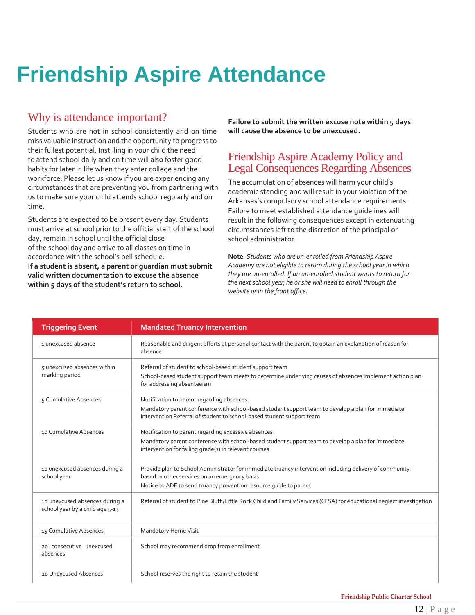## **Friendship Aspire Attendance**

## Why is attendance important?

Students who are not in school consistently and on time miss valuable instruction and the opportunity to progress to their fullest potential. Instilling in your child the need to attend school daily and on time will also foster good habits for later in life when they enter college and the workforce. Please let us know if you are experiencing any circumstances that are preventing you from partnering with us to make sure your child attends school regularly and on time.

Students are expected to be present every day. Students must arrive at school prior to the official start of the school day, remain in school until the official close of the school day and arrive to all classes on time in accordance with the school's bell schedule.

**If a student is absent, a parent or guardian must submit valid written documentation to excuse the absence within 5 days of the student's return to school.**

**Failure to submit the written excuse note within 5 days will cause the absence to be unexcused.**

### Friendship Aspire Academy Policy and Legal Consequences Regarding Absences

The accumulation of absences will harm your child's academic standing and will result in your violation of the Arkansas's compulsory school attendance requirements. Failure to meet established attendance guidelines will result in the following consequences except in extenuating circumstances left to the discretion of the principal or school administrator.

**Note**: *Students who are un-enrolled from Friendship Aspire Academy are not eligible to return during the school year in which they are un-enrolled. If an un-enrolled student wants to return for the next school year, he or she will need to enroll through the website or in the front office.*

| <b>Triggering Event</b>                                           | <b>Mandated Truancy Intervention</b>                                                                                                                                                                                           |
|-------------------------------------------------------------------|--------------------------------------------------------------------------------------------------------------------------------------------------------------------------------------------------------------------------------|
| 1 unexcused absence                                               | Reasonable and diligent efforts at personal contact with the parent to obtain an explanation of reason for<br>absence                                                                                                          |
| 5 unexcused absences within<br>marking period                     | Referral of student to school-based student support team<br>School-based student support team meets to determine underlying causes of absences Implement action plan<br>for addressing absenteeism                             |
| 5 Cumulative Absences                                             | Notification to parent regarding absences<br>Mandatory parent conference with school-based student support team to develop a plan for immediate<br>intervention Referral of student to school-based student support team       |
| 10 Cumulative Absences                                            | Notification to parent regarding excessive absences<br>Mandatory parent conference with school-based student support team to develop a plan for immediate<br>intervention for failing grade(s) in relevant courses             |
| 10 unexcused absences during a<br>school year                     | Provide plan to School Administrator for immediate truancy intervention including delivery of community-<br>based or other services on an emergency basis<br>Notice to ADE to send truancy prevention resource quide to parent |
| 10 unexcused absences during a<br>school year by a child age 5-13 | Referral of student to Pine Bluff /Little Rock Child and Family Services (CFSA) for educational neglect investigation                                                                                                          |
| 15 Cumulative Absences                                            | Mandatory Home Visit                                                                                                                                                                                                           |
| 20 consecutive unexcused<br>absences                              | School may recommend drop from enrollment                                                                                                                                                                                      |
| 20 Unexcused Absences                                             | School reserves the right to retain the student                                                                                                                                                                                |

**Friendship Public Charter School**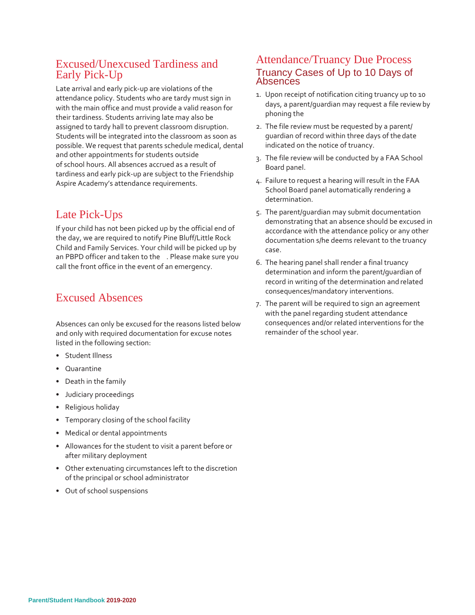## Excused/Unexcused Tardiness and Early Pick-Up

Late arrival and early pick-up are violations of the attendance policy. Students who are tardy must sign in with the main office and must provide a valid reason for their tardiness. Students arriving late may also be assigned to tardy hall to prevent classroom disruption. Students will be integrated into the classroom as soon as possible. We request that parents schedule medical, dental and other appointments for students outside of school hours. All absences accrued as a result of tardiness and early pick-up are subject to the Friendship Aspire Academy's attendance requirements.

## Late Pick-Ups

If your child has not been picked up by the official end of the day, we are required to notify Pine Bluff/Little Rock Child and Family Services. Your child will be picked up by an PBPD officer and taken to the . Please make sure you call the front office in the event of an emergency.

## Excused Absences

Absences can only be excused for the reasons listed below and only with required documentation for excuse notes listed in the following section:

- Student Illness
- Quarantine
- Death in the family
- Judiciary proceedings
- Religious holiday
- Temporary closing of the school facility
- Medical or dental appointments
- Allowances for the student to visit a parent before or after military deployment
- Other extenuating circumstances left to the discretion of the principal or school administrator
- Out of school suspensions

### Attendance/Truancy Due Process Truancy Cases of Up to 10 Days of **Absences**

- 1. Upon receipt of notification citing truancy up to 10 days, a parent/guardian may request a file reviewby phoning the
- 2. The file review must be requested by a parent/ guardian of record within three days of thedate indicated on the notice of truancy.
- 3. The file review will be conducted by a FAA School Board panel.
- 4. Failure to request a hearing will result in the FAA School Board panel automatically rendering a determination.
- 5. The parent/guardian may submit documentation demonstrating that an absence should be excused in accordance with the attendance policy or any other documentation s/he deems relevant to the truancy case.
- 6. The hearing panel shall render a final truancy determination and inform the parent/guardian of record in writing of the determination and related consequences/mandatory interventions.
- 7. The parent will be required to sign an agreement with the panel regarding student attendance consequences and/or related interventions for the remainder of the school year.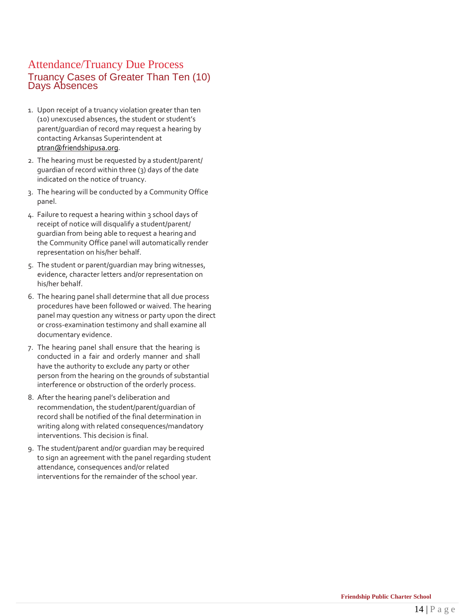## Attendance/Truancy Due Process Truancy Cases of Greater Than Ten (10) Days Absences

- 1. Upon receipt of a truancy violation greater than ten (10) unexcused absences, the student or student's parent/guardian of record may request a hearing by contacting Arkansas Superintendent at [ptran@friendshipusa.org.](mailto:ptran@friendshipusa.org)
- 2. The hearing must be requested by a student/parent/ guardian of record within three (3) days of the date indicated on the notice of truancy.
- 3. The hearing will be conducted by a Community Office panel.
- 4. Failure to request a hearing within 3 school days of receipt of notice will disqualify a student/parent/ guardian from being able to request a hearing and the Community Office panel will automatically render representation on his/her behalf.
- 5. The student or parent/guardian may bring witnesses, evidence, character letters and/or representation on his/her behalf.
- 6. The hearing panel shall determine that all due process procedures have been followed or waived. The hearing panel may question any witness or party upon the direct or cross-examination testimony and shall examine all documentary evidence.
- 7. The hearing panel shall ensure that the hearing is conducted in a fair and orderly manner and shall have the authority to exclude any party or other person from the hearing on the grounds of substantial interference or obstruction of the orderly process.
- 8. After the hearing panel's deliberation and recommendation, the student/parent/guardian of record shall be notified of the final determination in writing along with related consequences/mandatory interventions. This decision is final.
- 9. The student/parent and/or guardian may be required to sign an agreement with the panel regarding student attendance, consequences and/or related interventions for the remainder of the school year.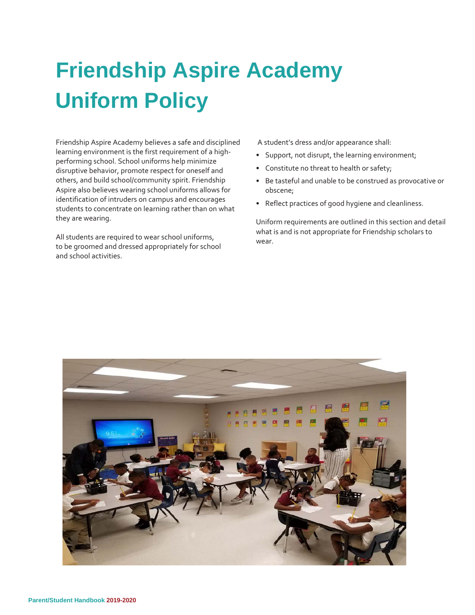## **Friendship Aspire Academy Uniform Policy**

Friendship Aspire Academy believes a safe and disciplined learning environment is the first requirement of a highperforming school. School uniforms help minimize disruptive behavior, promote respect for oneself and others, and build school/community spirit. Friendship Aspire also believes wearing school uniforms allows for identification of intruders on campus and encourages students to concentrate on learning rather than on what they are wearing.

All students are required to wear school uniforms, to be groomed and dressed appropriately for school and school activities.

A student's dress and/or appearance shall:

- Support, not disrupt, the learning environment;
- Constitute no threat to health or safety;
- Be tasteful and unable to be construed as provocative or obscene;
- Reflect practices of good hygiene and cleanliness.

Uniform requirements are outlined in this section and detail what is and is not appropriate for Friendship scholars to wear.

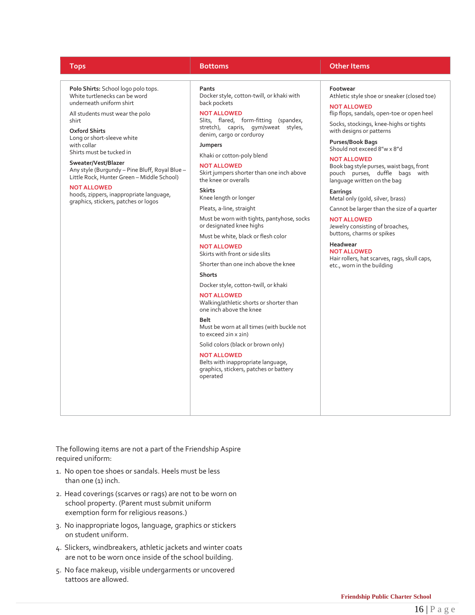**Polo Shirts:** School logo polo tops. White turtlenecks can be word underneath uniform shirt

All students must wear the polo shirt

**Oxford Shirts** Long or short-sleeve white with collar Shirts must be tucked in

**Sweater/Vest/Blazer** Any style (Burgundy – Pine Bluff, Royal Blue – Little Rock, Hunter Green – Middle School)

#### **NOT ALLOWED**

hoods, zippers, inappropriate language, graphics, stickers, patches or logos

**Pants**

Docker style, cotton-twill, or khaki with back pockets

**NOT ALLOWED**

Slits, flared, form-fitting (spandex, stretch), capris, gym/sweat styles, denim, cargo or corduroy

**Jumpers**

Khaki or cotton-poly blend **NOT ALLOWED**

Skirt jumpers shorter than one inch above the knee or overalls

**Skirts** Knee length or longer

Pleats, a-line, straight

Must be worn with tights, pantyhose, socks or designated knee highs

Must be white, black or flesh color

**NOT ALLOWED** Skirts with front or side slits

Shorter than one inch above the knee

**Shorts**

Docker style, cotton-twill, or khaki

**NOT ALLOWED** Walking/athletic shorts or shorter than one inch above the knee

#### **Belt**

Must be worn at all times (with buckle not to exceed 2in x 2in)

Solid colors (black or brown only)

#### **NOT ALLOWED**

Belts with inappropriate language, graphics, stickers, patches or battery operated

#### **Tops Bottoms Other Items**

**Footwear** Athletic style shoe or sneaker (closed toe)

**NOT ALLOWED** flip flops, sandals, open-toe or open heel

Socks, stockings, knee-highs or tights with designs or patterns **Purses/Book Bags**

Should not exceed 8"w x 8"d

**NOT ALLOWED** Book bag style purses, waist bags, front pouch purses, duffle bags with language written on the bag

**Earrings** Metal only (gold, silver, brass)

Cannot be larger than the size of a quarter **NOT ALLOWED**

Jewelry consisting of broaches, buttons, charms or spikes

**Headwear NOT ALLOWED** Hair rollers, hat scarves, rags, skull caps, etc., worn in the building

The following items are not a part of the Friendship Aspire required uniform:

- 1. No open toe shoes or sandals. Heels must be less than one (1) inch.
- 2. Head coverings (scarves or rags) are not to be worn on school property. (Parent must submit uniform exemption form for religious reasons.)
- 3. No inappropriate logos, language, graphics or stickers on student uniform.
- 4. Slickers, windbreakers, athletic jackets and winter coats are not to be worn once inside of the school building.
- 5. No face makeup, visible undergarments or uncovered tattoos are allowed.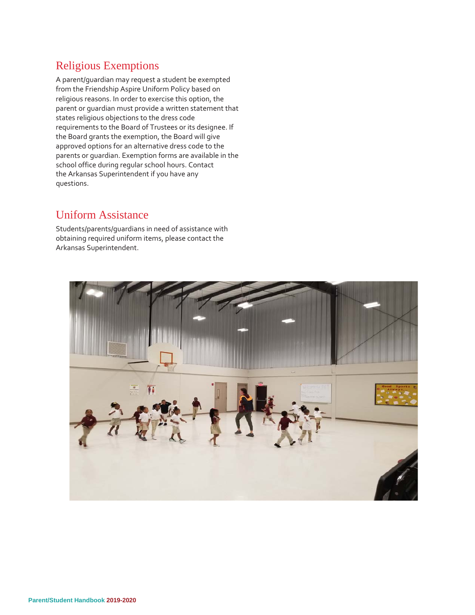## Religious Exemptions

A parent/guardian may request a student be exempted from the Friendship Aspire Uniform Policy based on religious reasons. In order to exercise this option, the parent or guardian must provide a written statement that states religious objections to the dress code requirements to the Board of Trustees or its designee. If the Board grants the exemption, the Board will give approved options for an alternative dress code to the parents or guardian. Exemption forms are available in the school office during regular school hours. Contact the Arkansas Superintendent if you have any questions.

## Uniform Assistance

Students/parents/guardians in need of assistance with obtaining required uniform items, please contact the Arkansas Superintendent.

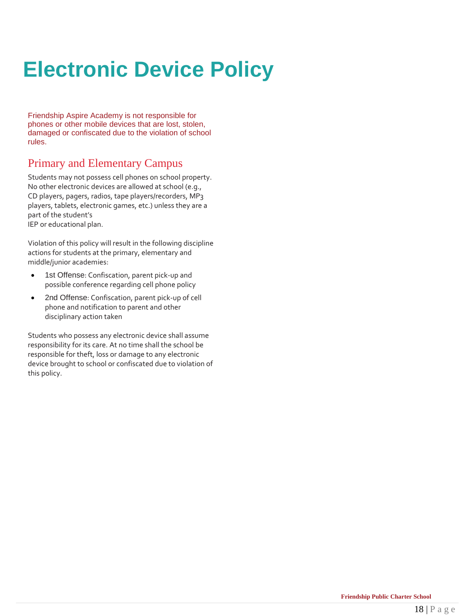## **Electronic Device Policy**

Friendship Aspire Academy is not responsible for phones or other mobile devices that are lost, stolen, damaged or confiscated due to the violation of school rules.

## Primary and Elementary Campus

Students may not possess cell phones on school property. No other electronic devices are allowed at school (e.g., CD players, pagers, radios, tape players/recorders, MP3 players, tablets, electronic games, etc.) unless they are a part of the student's IEP or educational plan.

Violation of this policy will result in the following discipline actions for students at the primary, elementary and middle/junior academies:

- 1st Offense: Confiscation, parent pick-up and possible conference regarding cell phone policy
- 2nd Offense: Confiscation, parent pick-up of cell phone and notification to parent and other disciplinary action taken

Students who possess any electronic device shall assume responsibility for its care. At no time shall the school be responsible for theft, loss or damage to any electronic device brought to school or confiscated due to violation of this policy.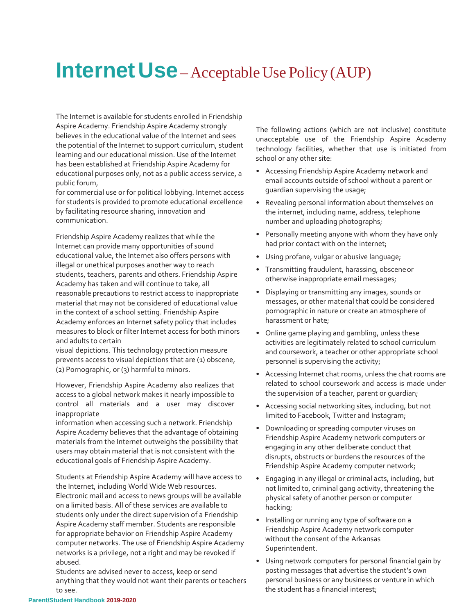## **Internet Use**–Acceptable Use Policy (AUP)

The Internet is available for students enrolled in Friendship Aspire Academy. Friendship Aspire Academy strongly believes in the educational value of the Internet and sees the potential of the Internet to support curriculum, student learning and our educational mission. Use of the Internet has been established at Friendship Aspire Academy for educational purposes only, not as a public access service, a public forum,

for commercial use or for political lobbying. Internet access for students is provided to promote educational excellence by facilitating resource sharing, innovation and communication.

Friendship Aspire Academy realizes that while the Internet can provide many opportunities of sound educational value, the Internet also offers persons with illegal or unethical purposes another way to reach students, teachers, parents and others. Friendship Aspire Academy has taken and will continue to take, all reasonable precautions to restrict access to inappropriate material that may not be considered of educational value in the context of a school setting. Friendship Aspire Academy enforces an Internet safety policy that includes measures to block or filter Internet access for both minors and adults to certain

visual depictions. This technology protection measure prevents access to visual depictions that are (1) obscene, (2) Pornographic, or (3) harmful to minors.

However, Friendship Aspire Academy also realizes that access to a global network makes it nearly impossible to control all materials and a user may discover inappropriate

information when accessing such a network. Friendship Aspire Academy believes that the advantage of obtaining materials from the Internet outweighs the possibility that users may obtain material that is not consistent with the educational goals of Friendship Aspire Academy.

Students at Friendship Aspire Academy will have access to the Internet, including World Wide Web resources. Electronic mail and access to news groups will be available on a limited basis. All of these services are available to students only under the direct supervision of a Friendship Aspire Academy staff member. Students are responsible for appropriate behavior on Friendship Aspire Academy computer networks. The use of Friendship Aspire Academy networks is a privilege, not a right and may be revoked if abused.

Students are advised never to access, keep or send anything that they would not want their parents or teachers to see.

The following actions (which are not inclusive) constitute unacceptable use of the Friendship Aspire Academy technology facilities, whether that use is initiated from school or any other site:

- Accessing Friendship Aspire Academy network and email accounts outside of school without a parent or guardian supervising the usage;
- Revealing personal information about themselves on the internet, including name, address, telephone number and uploading photographs;
- Personally meeting anyone with whom they have only had prior contact with on the internet;
- Using profane, vulgar or abusive language;
- Transmitting fraudulent, harassing, obsceneor otherwise inappropriate email messages;
- Displaying or transmitting any images, sounds or messages, or other material that could be considered pornographic in nature or create an atmosphere of harassment or hate;
- Online game playing and gambling, unless these activities are legitimately related to school curriculum and coursework, a teacher or other appropriate school personnel is supervising the activity;
- Accessing Internet chat rooms, unless the chat rooms are related to school coursework and access is made under the supervision of a teacher, parent or guardian;
- Accessing social networking sites, including, but not limited to Facebook, Twitter and Instagram;
- Downloading or spreading computer viruses on Friendship Aspire Academy network computers or engaging in any other deliberate conduct that disrupts, obstructs or burdens the resources of the Friendship Aspire Academy computer network;
- Engaging in any illegal or criminal acts, including, but not limited to, criminal gang activity, threatening the physical safety of another person or computer hacking;
- Installing or running any type of software on a Friendship Aspire Academy network computer without the consent of the Arkansas Superintendent.
- Using network computers for personal financial gain by posting messages that advertise the student's own personal business or any business or venture in which the student has a financial interest;

#### **Parent/Student Handbook 2019-2020**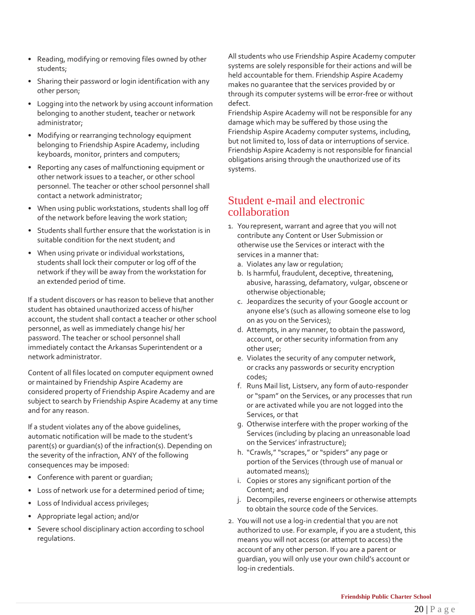- Reading, modifying or removing files owned by other students;
- Sharing their password or login identification with any other person;
- Logging into the network by using account information belonging to another student, teacher or network administrator;
- Modifying or rearranging technology equipment belonging to Friendship Aspire Academy, including keyboards, monitor, printers and computers;
- Reporting any cases of malfunctioning equipment or other network issues to a teacher, or other school personnel. The teacher or other school personnel shall contact a network administrator;
- When using public workstations, students shall log off of the network before leaving the work station;
- Students shall further ensure that the workstation is in suitable condition for the next student; and
- When using private or individual workstations, students shall lock their computer or log off of the network if they will be away from the workstation for an extended period of time.

If a student discovers or has reason to believe that another student has obtained unauthorized access of his/her account, the student shall contact a teacher or other school personnel, as well as immediately change his/ her password. The teacher or school personnel shall immediately contact the Arkansas Superintendent or a network administrator.

Content of all files located on computer equipment owned or maintained by Friendship Aspire Academy are considered property of Friendship Aspire Academy and are subject to search by Friendship Aspire Academy at any time and for any reason.

If a student violates any of the above guidelines, automatic notification will be made to the student's parent(s) or guardian(s) of the infraction(s). Depending on the severity of the infraction, ANY of the following consequences may be imposed:

- Conference with parent or guardian;
- Loss of network use for a determined period of time;
- Loss of Individual access privileges;
- Appropriate legal action; and/or
- Severe school disciplinary action according to school regulations.

All students who use Friendship Aspire Academy computer systems are solely responsible for their actions and will be held accountable for them. Friendship Aspire Academy makes no guarantee that the services provided by or through its computer systems will be error-free or without defect.

Friendship Aspire Academy will not be responsible for any damage which may be suffered by those using the Friendship Aspire Academy computer systems, including, but not limited to, loss of data or interruptions of service. Friendship Aspire Academy is not responsible for financial obligations arising through the unauthorized use of its systems.

## Student e-mail and electronic collaboration

- 1. You represent, warrant and agree that you will not contribute any Content or User Submission or otherwise use the Services or interact with the services in a manner that:
	- a. Violates any law or regulation;
	- b. Is harmful, fraudulent, deceptive, threatening, abusive, harassing, defamatory, vulgar, obscene or otherwise objectionable;
	- c. Jeopardizes the security of your Google account or anyone else's (such as allowing someone else to log on as you on the Services);
	- d. Attempts, in any manner, to obtain the password, account, or other security information from any other user;
	- e. Violates the security of any computer network, or cracks any passwords or security encryption codes;
	- f. Runs Mail list, Listserv, any form ofauto-responder or "spam" on the Services, or any processes that run or are activated while you are not logged into the Services, or that
	- g. Otherwise interfere with the proper working of the Services (including by placing an unreasonable load on the Services' infrastructure);
	- h. "Crawls," "scrapes," or "spiders" any page or portion of the Services (through use of manual or automated means);
	- i. Copies or stores any significant portion of the Content; and
	- j. Decompiles, reverse engineers or otherwise attempts to obtain the source code of the Services.
- 2. Youwill not use a log-in credential that you are not authorized to use. For example, if you are a student, this means you will not access (or attempt to access) the account of any other person. If you are a parent or guardian, you will only use your own child's account or log-in credentials.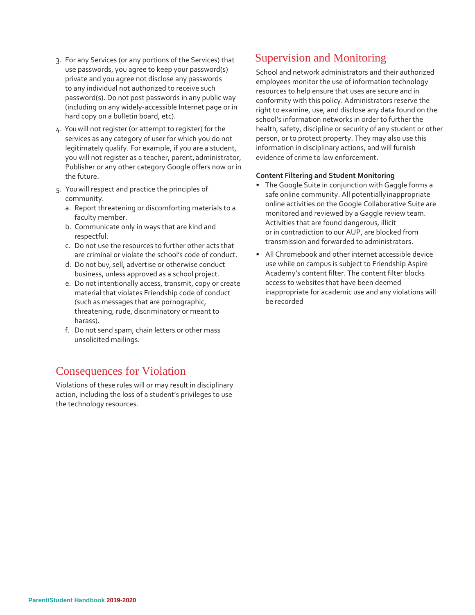- 3. For any Services (or any portions of the Services) that use passwords, you agree to keep your password(s) private and you agree not disclose any passwords to any individual not authorized to receive such password(s). Do not post passwords in any public way (including on any widely-accessible Internet page or in hard copy on a bulletin board, etc).
- 4. Youwill not register (or attempt to register) for the services as any category of user for which you do not legitimately qualify. For example, if you are a student, you will not register as a teacher, parent, administrator, Publisher or any other category Google offers now or in the future.
- 5. Youwill respect and practice the principles of community.
	- a. Report threatening or discomforting materials to a faculty member.
	- b. Communicate only in ways that are kind and respectful.
	- c. Do not use the resources to further other acts that are criminal or violate the school's code of conduct.
	- d. Do not buy, sell, advertise or otherwise conduct business, unless approved as a school project.
	- e. Do not intentionally access, transmit, copy or create material that violates Friendship code of conduct (such as messages that are pornographic, threatening, rude, discriminatory or meant to harass).
	- f. Do not send spam, chain letters or other mass unsolicited mailings.

## Consequences for Violation

Violations of these rules will or may result in disciplinary action, including the loss of a student's privileges to use the technology resources.

## Supervision and Monitoring

School and network administrators and their authorized employees monitor the use of information technology resources to help ensure that uses are secure and in conformity with this policy. Administrators reserve the right to examine, use, and disclose any data found on the school's information networks in order to further the health, safety, discipline or security of any student or other person, or to protect property. They may also use this information in disciplinary actions, and will furnish evidence of crime to law enforcement.

### **Content Filtering and Student Monitoring**

- The Google Suite in conjunction with Gaggle forms a safe online community. All potentiallyinappropriate online activities on the Google Collaborative Suite are monitored and reviewed by a Gaggle review team. Activities that are found dangerous, illicit or in contradiction to our AUP, are blocked from transmission and forwarded to administrators.
- All Chromebook and other internet accessible device use while on campus is subject to Friendship Aspire Academy's content filter. The content filter blocks access to websites that have been deemed inappropriate for academic use and any violations will be recorded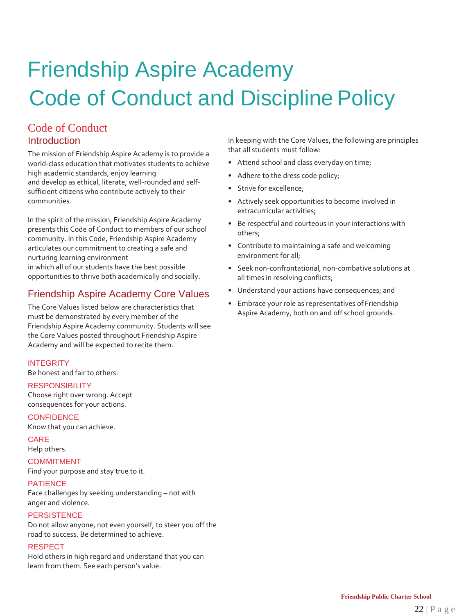## Friendship Aspire Academy Code of Conduct and Discipline Policy

## Code of Conduct Introduction

The mission of Friendship Aspire Academy is to provide a world-class education that motivates students to achieve high academic standards, enjoy learning and develop as ethical, literate, well-rounded and selfsufficient citizens who contribute actively to their communities.

In the spirit of the mission, Friendship Aspire Academy presents this Code of Conduct to members of our school community. In this Code, Friendship Aspire Academy articulates our commitment to creating a safe and nurturing learning environment in which all of our students have the best possible opportunities to thrive both academically and socially.

## Friendship Aspire Academy Core Values

The Core Values listed below are characteristics that must be demonstrated by every member of the Friendship Aspire Academy community. Students will see the Core Values posted throughout Friendship Aspire Academy and will be expected to recite them.

### **INTEGRITY**

Be honest and fair to others.

### **RESPONSIBILITY**

Choose right over wrong. Accept consequences for your actions.

### **CONFIDENCE**

Know that you can achieve.

### CARE

Help others.

### COMMITMENT

Find your purpose and stay true to it.

### PATIENCE

Face challenges by seeking understanding – not with anger and violence.

### **PERSISTENCE**

Do not allow anyone, not even yourself, to steer you off the road to success. Be determined to achieve.

### RESPECT

Hold others in high regard and understand that you can learn from them. See each person's value.

In keeping with the Core Values, the following are principles that all students must follow:

- Attend school and class everyday on time;
- Adhere to the dress code policy;
- Strive for excellence;
- Actively seek opportunities to become involved in extracurricular activities;
- Be respectful and courteous in your interactions with others;
- Contribute to maintaining a safe and welcoming environment for all;
- Seek non-confrontational, non-combative solutions at all times in resolving conflicts;
- Understand your actions have consequences; and
- Embrace your role as representatives of Friendship Aspire Academy, both on and off school grounds.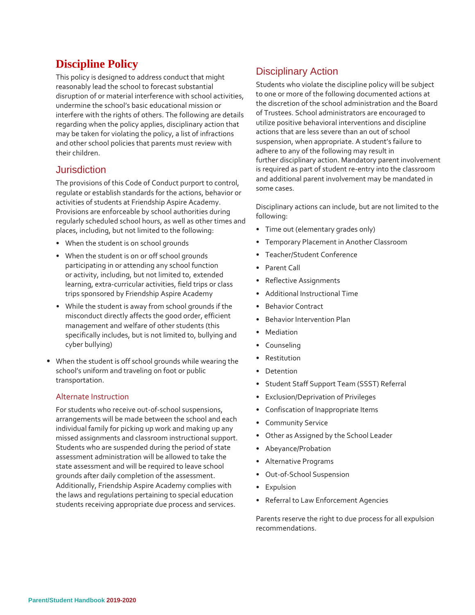## **Discipline Policy**

This policy is designed to address conduct that might reasonably lead the school to forecast substantial disruption of or material interference with school activities, undermine the school's basic educational mission or interfere with the rights of others. The following are details regarding when the policy applies, disciplinary action that may be taken for violating the policy, a list of infractions and other school policies that parents must review with their children.

### Jurisdiction

The provisions of this Code of Conduct purport to control, regulate or establish standards for the actions, behavior or activities of students at Friendship Aspire Academy. Provisions are enforceable by school authorities during regularly scheduled school hours, as well as other times and places, including, but not limited to the following:

- When the student is on school grounds
- When the student is on or off school grounds participating in or attending any school function or activity, including, but not limited to, extended learning, extra-curricular activities, field trips or class trips sponsored by Friendship Aspire Academy
- While the student is away from school grounds if the misconduct directly affects the good order, efficient management and welfare of other students (this specifically includes, but is not limited to, bullying and cyber bullying)
- When the student is off school grounds while wearing the school's uniform and traveling on foot or public transportation.

### Alternate Instruction

For students who receive out-of-school suspensions, arrangements will be made between the school and each individual family for picking up work and making up any missed assignments and classroom instructional support. Students who are suspended during the period of state assessment administration will be allowed to take the state assessment and will be required to leave school grounds after daily completion of the assessment. Additionally, Friendship Aspire Academy complies with the laws and regulations pertaining to special education students receiving appropriate due process and services.

## Disciplinary Action

Students who violate the discipline policy will be subject to one or more of the following documented actions at the discretion of the school administration and the Board of Trustees. School administrators are encouraged to utilize positive behavioral interventions and discipline actions that are less severe than an out of school suspension, when appropriate. A student's failure to adhere to any of the following may result in further disciplinary action. Mandatory parent involvement is required as part of student re-entry into the classroom and additional parent involvement may be mandated in some cases.

Disciplinary actions can include, but are not limited to the following:

- Time out (elementary grades only)
- Temporary Placement in Another Classroom
- Teacher/Student Conference
- Parent Call
- Reflective Assignments
- Additional Instructional Time
- Behavior Contract
- Behavior Intervention Plan
- Mediation
- Counseling
- **Restitution**
- **Detention**
- Student Staff Support Team (SSST) Referral
- Exclusion/Deprivation of Privileges
- Confiscation of Inappropriate Items
- Community Service
- Other as Assigned by the School Leader
- Abeyance/Probation
- Alternative Programs
- Out-of-School Suspension
- Expulsion
- Referral to Law Enforcement Agencies

Parents reserve the right to due process for all expulsion recommendations.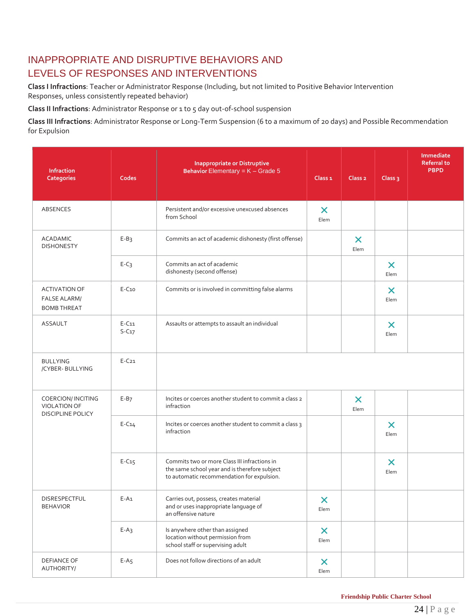## INAPPROPRIATE AND DISRUPTIVE BEHAVIORS AND LEVELS OF RESPONSES AND INTERVENTIONS

**Class I Infractions**: Teacher or Administrator Response (Including, but not limited to Positive Behavior Intervention Responses, unless consistently repeated behavior)

**Class II Infractions**: Administrator Response or 1 to 5 day out-of-school suspension

**Class III Infractions**: Administrator Response or Long-Term Suspension (6 to a maximum of 20 days) and Possible Recommendation for Expulsion

| Infraction<br><b>Categories</b>                                             | Codes              | <b>Inappropriate or Distruptive</b><br><b>Behavior Elementary = <math>K -</math> Grade 5</b>                                                | Class <sub>1</sub>                | Class <sub>2</sub>                | Class <sub>3</sub>                | <b>Immediate</b><br><b>Referral to</b><br><b>PBPD</b> |
|-----------------------------------------------------------------------------|--------------------|---------------------------------------------------------------------------------------------------------------------------------------------|-----------------------------------|-----------------------------------|-----------------------------------|-------------------------------------------------------|
| ABSENCES                                                                    |                    | Persistent and/or excessive unexcused absences<br>from School                                                                               | $\boldsymbol{\mathsf{X}}$<br>Elem |                                   |                                   |                                                       |
| <b>ACADAMIC</b><br><b>DISHONESTY</b>                                        | $E-B3$             | Commits an act of academic dishonesty (first offense)                                                                                       |                                   | $\boldsymbol{\mathsf{X}}$<br>Elem |                                   |                                                       |
|                                                                             | $E-C3$             | Commits an act of academic<br>dishonesty (second offense)                                                                                   |                                   |                                   | $\boldsymbol{\mathsf{x}}$<br>Elem |                                                       |
| <b>ACTIVATION OF</b><br><b>FALSE ALARM/</b><br><b>BOMB THREAT</b>           | $E-C10$            | Commits or is involved in committing false alarms                                                                                           |                                   |                                   | $\boldsymbol{\mathsf{x}}$<br>Elem |                                                       |
| <b>ASSAULT</b>                                                              | $E-C11$<br>$S-C17$ | Assaults or attempts to assault an individual                                                                                               |                                   |                                   | $\boldsymbol{\mathsf{x}}$<br>Elem |                                                       |
| <b>BULLYING</b><br>/CYBER-BULLYING                                          | $E-C21$            |                                                                                                                                             |                                   |                                   |                                   |                                                       |
| <b>COERCION/INCITING</b><br><b>VIOLATION OF</b><br><b>DISCIPLINE POLICY</b> | $E-B7$             | Incites or coerces another student to commit a class 2<br>infraction                                                                        |                                   | $\boldsymbol{\mathsf{x}}$<br>Elem |                                   |                                                       |
|                                                                             | $E-C14$            | Incites or coerces another student to commit a class 3<br>infraction                                                                        |                                   |                                   | $\boldsymbol{\mathsf{x}}$<br>Elem |                                                       |
|                                                                             | $E-C15$            | Commits two or more Class III infractions in<br>the same school year and is therefore subject<br>to automatic recommendation for expulsion. |                                   |                                   | $\boldsymbol{\mathsf{x}}$<br>Elem |                                                       |
| DISRESPECTFUL<br><b>BEHAVIOR</b>                                            | $E-A1$             | Carries out, possess, creates material<br>and or uses inappropriate language of<br>an offensive nature                                      | $\boldsymbol{\mathsf{x}}$<br>Elem |                                   |                                   |                                                       |
|                                                                             | $E-A_3$            | Is anywhere other than assigned<br>location without permission from<br>school staff or supervising adult                                    | $\boldsymbol{\mathsf{x}}$<br>Elem |                                   |                                   |                                                       |
| <b>DEFIANCE OF</b><br>AUTHORITY/                                            | $E-A5$             | Does not follow directions of an adult                                                                                                      | $\boldsymbol{\mathsf{x}}$<br>Elem |                                   |                                   |                                                       |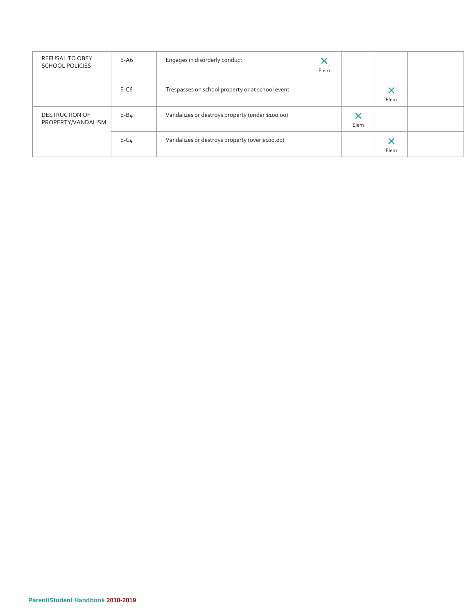| <b>REFUSAL TO OBEY</b><br><b>SCHOOL POLICIES</b> | $E-AG$   | Engages in disorderly conduct                    | ×<br>Elem |           |           |  |
|--------------------------------------------------|----------|--------------------------------------------------|-----------|-----------|-----------|--|
|                                                  | $E-C6$   | Trespasses on school property or at school event |           |           | X<br>Elem |  |
| <b>DESTRUCTION OF</b><br>PROPERTY/VANDALISM      | $E - B4$ | Vandalizes or destroys property (under \$100.00) |           | ×<br>Elem |           |  |
|                                                  | $E-C4$   | Vandalizes or destroys property (over \$100.00)  |           |           | X<br>Elem |  |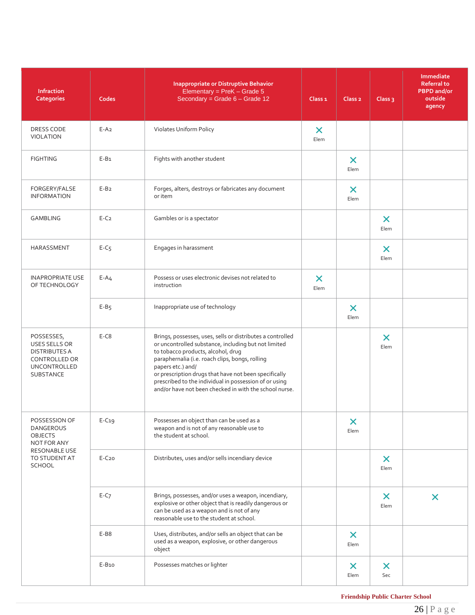| <b>Infraction</b><br><b>Categories</b>                                                                          | Codes    | <b>Inappropriate or Distruptive Behavior</b><br>Elementary = $PreK - Grade 5$<br>Secondary = Grade $6 -$ Grade 12                                                                                                                                                                                                                                                                                             | Class <sub>1</sub>                | Class <sub>2</sub>                | Class <sub>3</sub>                | Immediate<br><b>Referral to</b><br><b>PBPD</b> and/or<br>outside<br>agency |
|-----------------------------------------------------------------------------------------------------------------|----------|---------------------------------------------------------------------------------------------------------------------------------------------------------------------------------------------------------------------------------------------------------------------------------------------------------------------------------------------------------------------------------------------------------------|-----------------------------------|-----------------------------------|-----------------------------------|----------------------------------------------------------------------------|
| DRESS CODE<br><b>VIOLATION</b>                                                                                  | $E-A2$   | Violates Uniform Policy                                                                                                                                                                                                                                                                                                                                                                                       | $\boldsymbol{\mathsf{X}}$<br>Elem |                                   |                                   |                                                                            |
| <b>FIGHTING</b>                                                                                                 | $E-B1$   | Fights with another student                                                                                                                                                                                                                                                                                                                                                                                   |                                   | X<br>Elem                         |                                   |                                                                            |
| FORGERY/FALSE<br><b>INFORMATION</b>                                                                             | $E-B2$   | Forges, alters, destroys or fabricates any document<br>or item                                                                                                                                                                                                                                                                                                                                                |                                   | $\boldsymbol{\times}$<br>Elem     |                                   |                                                                            |
| <b>GAMBLING</b>                                                                                                 | $E-C2$   | Gambles or is a spectator                                                                                                                                                                                                                                                                                                                                                                                     |                                   |                                   | $\boldsymbol{\mathsf{x}}$<br>Elem |                                                                            |
| HARASSMENT                                                                                                      | $E-C5$   | Engages in harassment                                                                                                                                                                                                                                                                                                                                                                                         |                                   |                                   | $\boldsymbol{\mathsf{x}}$<br>Elem |                                                                            |
| <b>INAPROPRIATE USE</b><br>OF TECHNOLOGY                                                                        | $E - A4$ | Possess or uses electronic devises not related to<br>instruction                                                                                                                                                                                                                                                                                                                                              | $\boldsymbol{\mathsf{x}}$<br>Elem |                                   |                                   |                                                                            |
|                                                                                                                 | $E-B5$   | Inappropriate use of technology                                                                                                                                                                                                                                                                                                                                                                               |                                   | $\bm{\times}$<br>Elem             |                                   |                                                                            |
| POSSESSES,<br>USES SELLS OR<br><b>DISTRIBUTES A</b><br><b>CONTROLLED OR</b><br><b>UNCONTROLLED</b><br>SUBSTANCE | $E-C8$   | Brings, possesses, uses, sells or distributes a controlled<br>or uncontrolled substance, including but not limited<br>to tobacco products, alcohol, drug<br>paraphernalia (i.e. roach clips, bongs, rolling<br>papers etc.) and/<br>or prescription drugs that have not been specifically<br>prescribed to the individual in possession of or using<br>and/or have not been checked in with the school nurse. |                                   |                                   | $\boldsymbol{\mathsf{x}}$<br>Elem |                                                                            |
| POSSESSION OF<br><b>DANGEROUS</b><br><b>OBJECTS</b><br>NOT FOR ANY                                              | $E-C19$  | Possesses an object than can be used as a<br>weapon and is not of any reasonable use to<br>the student at school.                                                                                                                                                                                                                                                                                             |                                   | $\boldsymbol{\mathsf{x}}$<br>Elem |                                   |                                                                            |
| RESONABLE USE<br>TO STUDENT AT<br>SCHOOL                                                                        | $E-C20$  | Distributes, uses and/or sells incendiary device                                                                                                                                                                                                                                                                                                                                                              |                                   |                                   | $\boldsymbol{\mathsf{x}}$<br>Elem |                                                                            |
|                                                                                                                 | $E-C7$   | Brings, possesses, and/or uses a weapon, incendiary,<br>explosive or other object that is readily dangerous or<br>can be used as a weapon and is not of any<br>reasonable use to the student at school.                                                                                                                                                                                                       |                                   |                                   | $\boldsymbol{\mathsf{X}}$<br>Elem | $\boldsymbol{\mathsf{x}}$                                                  |
|                                                                                                                 | E-B8     | Uses, distributes, and/or sells an object that can be<br>used as a weapon, explosive, or other dangerous<br>object                                                                                                                                                                                                                                                                                            |                                   | $\boldsymbol{\mathsf{x}}$<br>Elem |                                   |                                                                            |
|                                                                                                                 | E-B10    | Possesses matches or lighter                                                                                                                                                                                                                                                                                                                                                                                  |                                   | $\boldsymbol{\mathsf{x}}$<br>Elem | $\boldsymbol{\mathsf{X}}$<br>Sec  |                                                                            |

**Friendship Public Charter School**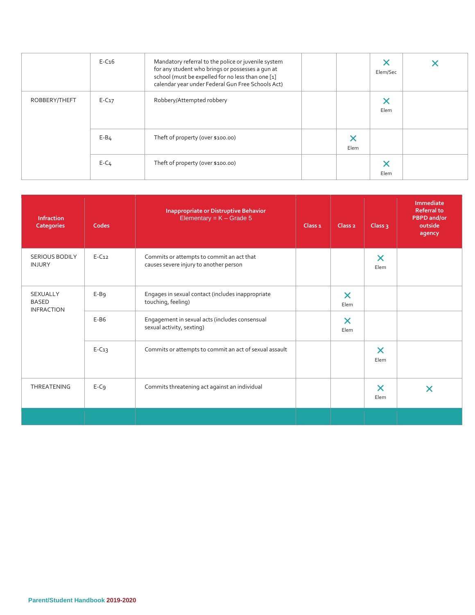|               | $E-C16$  | Mandatory referral to the police or juvenile system<br>for any student who brings or possesses a gun at<br>school (must be expelled for no less than one [1]<br>calendar year under Federal Gun Free Schools Act) |      | Elem/Sec |  |
|---------------|----------|-------------------------------------------------------------------------------------------------------------------------------------------------------------------------------------------------------------------|------|----------|--|
| ROBBERY/THEFT | $E-C17$  | Robbery/Attempted robbery                                                                                                                                                                                         |      | Elem     |  |
|               | $E - B4$ | Theft of property (over \$100.00)                                                                                                                                                                                 | Elem |          |  |
|               | $E-C4$   | Theft of property (over \$100.00)                                                                                                                                                                                 |      | Elem     |  |

| <b>Infraction</b><br><b>Categories</b>        | Codes   | <b>Inappropriate or Distruptive Behavior</b><br>Elementary = $K -$ Grade 5          | Class <sub>1</sub> | Class <sub>2</sub>                | Class $3$                         | <b>Immediate</b><br><b>Referral to</b><br><b>PBPD</b> and/or<br>outside<br>agency |
|-----------------------------------------------|---------|-------------------------------------------------------------------------------------|--------------------|-----------------------------------|-----------------------------------|-----------------------------------------------------------------------------------|
| <b>SERIOUS BODILY</b><br><b>INJURY</b>        | $E-C12$ | Commits or attempts to commit an act that<br>causes severe injury to another person |                    |                                   | $\boldsymbol{\mathsf{x}}$<br>Elem |                                                                                   |
| SEXUALLY<br><b>BASED</b><br><b>INFRACTION</b> | $E-B9$  | Engages in sexual contact (includes inappropriate<br>touching, feeling)             |                    | $\boldsymbol{\mathsf{x}}$<br>Elem |                                   |                                                                                   |
|                                               | $E-B6$  | Engagement in sexual acts (includes consensual<br>sexual activity, sexting)         |                    | $\boldsymbol{\mathsf{x}}$<br>Elem |                                   |                                                                                   |
|                                               | $E-C13$ | Commits or attempts to commit an act of sexual assault                              |                    |                                   | $\boldsymbol{\times}$<br>Elem     |                                                                                   |
| <b>THREATENING</b>                            | $E-C9$  | Commits threatening act against an individual                                       |                    |                                   | $\bm{\times}$<br>Elem             | ×                                                                                 |
|                                               |         |                                                                                     |                    |                                   |                                   |                                                                                   |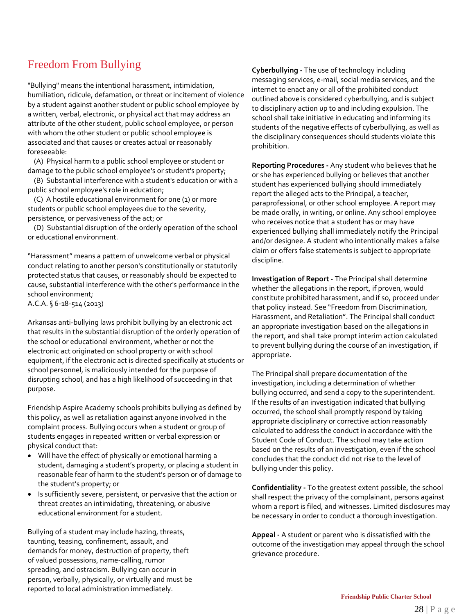## Freedom From Bullying

"Bullying" means the intentional harassment, intimidation, humiliation, ridicule, defamation, or threat or incitement of violence by a student against another student or public school employee by a written, verbal, electronic, or physical act that may address an attribute of the other student, public school employee, or person with whom the other student or public school employee is associated and that causes or creates actual or reasonably foreseeable:

(A) Physical harm to a public school employee or student or damage to the public school employee's or student's property;

(B) Substantial interference with a student's education or with a public school employee's role in education;

(C) A hostile educational environment for one (1) or more students or public school employees due to the severity, persistence, or pervasiveness of the act; or

(D) Substantial disruption of the orderly operation of the school or educational environment.

"Harassment" means a pattern of unwelcome verbal or physical conduct relating to another person's constitutionally or statutorily protected status that causes, or reasonably should be expected to cause, substantial interference with the other's performance in the school environment;

A.C.A. § 6-18-514 (2013)

Arkansas anti-bullying laws prohibit bullying by an electronic act that results in the substantial disruption of the orderly operation of the school or educational environment, whether or not the electronic act originated on school property or with school equipment, if the electronic act is directed specifically at students or school personnel, is maliciously intended for the purpose of disrupting school, and has a high likelihood of succeeding in that purpose.

Friendship Aspire Academy schools prohibits bullying as defined by this policy, as well as retaliation against anyone involved in the complaint process. Bullying occurs when a student or group of students engages in repeated written or verbal expression or physical conduct that:

- Will have the effect of physically or emotional harming a student, damaging a student's property, or placing a student in reasonable fear of harm to the student's person or of damage to the student's property; or
- Is sufficiently severe, persistent, or pervasive that the action or threat creates an intimidating, threatening, or abusive educational environment for a student.

Bullying of a student may include hazing, threats, taunting, teasing, confinement, assault, and demands for money, destruction of property, theft of valued possessions, name-calling, rumor spreading, and ostracism. Bullying can occur in person, verbally, physically, or virtually and must be reported to local administration immediately.

**Cyberbullying -** The use of technology including messaging services, e-mail, social media services, and the internet to enact any or all of the prohibited conduct outlined above is considered cyberbullying, and is subject to disciplinary action up to and including expulsion. The school shall take initiative in educating and informing its students of the negative effects of cyberbullying, as well as the disciplinary consequences should students violate this prohibition.

**Reporting Procedures -** Any student who believes that he or she has experienced bullying or believes that another student has experienced bullying should immediately report the alleged acts to the Principal, a teacher, paraprofessional, or other school employee. A report may be made orally, in writing, or online. Any school employee who receives notice that a student has or may have experienced bullying shall immediately notify the Principal and/or designee. A student who intentionally makes a false claim or offers false statements is subject to appropriate discipline.

**Investigation of Report -** The Principal shall determine whether the allegations in the report, if proven, would constitute prohibited harassment, and if so, proceed under that policy instead. See "Freedom from Discrimination, Harassment, and Retaliation". The Principal shall conduct an appropriate investigation based on the allegations in the report, and shall take prompt interim action calculated to prevent bullying during the course of an investigation, if appropriate.

The Principal shall prepare documentation of the investigation, including a determination of whether bullying occurred, and send a copy to the superintendent. If the results of an investigation indicated that bullying occurred, the school shall promptly respond by taking appropriate disciplinary or corrective action reasonably calculated to address the conduct in accordance with the Student Code of Conduct. The school may take action based on the results of an investigation, even if the school concludes that the conduct did not rise to the level of bullying under this policy.

**Confidentiality -** To the greatest extent possible, the school shall respect the privacy of the complainant, persons against whom a report is filed, and witnesses. Limited disclosures may be necessary in order to conduct a thorough investigation.

**Appeal -** A student or parent who is dissatisfied with the outcome of the investigation may appeal through the school grievance procedure.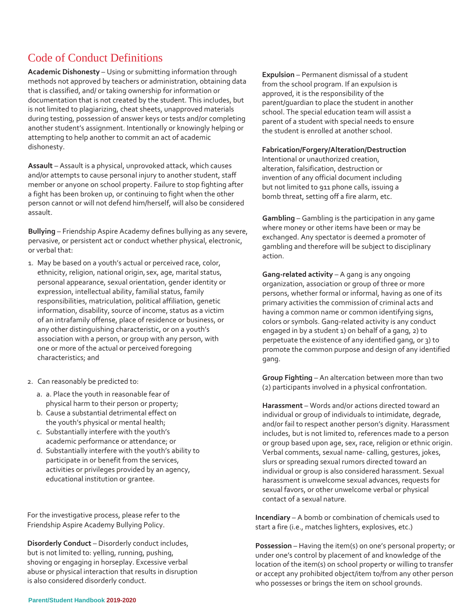## Code of Conduct Definitions

**Academic Dishonesty** – Using or submitting information through methods not approved by teachers or administration, obtaining data that is classified, and/ or taking ownership for information or documentation that is not created by the student. This includes, but is not limited to plagiarizing, cheat sheets, unapproved materials during testing, possession of answer keys or tests and/or completing another student's assignment. Intentionally or knowingly helping or attempting to help another to commit an act of academic dishonesty.

**Assault** – Assault is a physical, unprovoked attack, which causes and/or attempts to cause personal injury to another student, staff member or anyone on school property. Failure to stop fighting after a fight has been broken up, or continuing to fight when the other person cannot or will not defend him/herself, will also be considered assault.

**Bullying** – Friendship Aspire Academy defines bullying as any severe, pervasive, or persistent act or conduct whether physical, electronic, or verbal that:

- 1. May be based on a youth's actual or perceived race, color, ethnicity, religion, national origin, sex, age, marital status, personal appearance, sexual orientation, gender identity or expression, intellectual ability, familial status, family responsibilities, matriculation, political affiliation, genetic information, disability, source of income, status as a victim of an intrafamily offense, place of residence or business, or any other distinguishing characteristic, or on a youth's association with a person, or group with any person, with one or more of the actual or perceived foregoing characteristics; and
- 2. Can reasonably be predicted to:
	- a. a. Place the youth in reasonable fear of physical harm to their person or property;
	- b. Cause a substantial detrimental effect on the youth's physical or mental health;
	- c. Substantially interfere with the youth's academic performance or attendance; or
	- d. Substantially interfere with the youth's ability to participate in or benefit from the services, activities or privileges provided by an agency, educational institution or grantee.

For the investigative process, please refer to the Friendship Aspire Academy Bullying Policy.

**Disorderly Conduct** – Disorderly conduct includes, but is not limited to: yelling, running, pushing, shoving or engaging in horseplay. Excessive verbal abuse or physical interaction that results in disruption is also considered disorderly conduct.

**Expulsion** – Permanent dismissal of a student from the school program. If an expulsion is approved, it is the responsibility of the parent/guardian to place the student in another school. The special education team will assist a parent of a student with special needs to ensure the student is enrolled at another school.

### **Fabrication/Forgery/Alteration/Destruction**

Intentional or unauthorized creation, alteration, falsification, destruction or invention of any official document including but not limited to 911 phone calls, issuing a bomb threat, setting off a fire alarm, etc.

**Gambling** – Gambling is the participation in any game where money or other items have been or may be exchanged. Any spectator is deemed a promoter of gambling and therefore will be subject to disciplinary action.

**Gang-related activity** – A gang is any ongoing organization, association or group of three or more persons, whether formal or informal, having as one of its primary activities the commission of criminal acts and having a common name or common identifying signs, colors or symbols. Gang-related activity is any conduct engaged in by a student 1) on behalf of a gang, 2) to perpetuate the existence of any identified gang, or 3) to promote the common purpose and design of any identified gang.

**Group Fighting** – An altercation between more than two (2) participants involved in a physical confrontation.

**Harassment** – Words and/or actions directed toward an individual or group of individuals to intimidate, degrade, and/or fail to respect another person's dignity. Harassment includes, but is not limited to, references made to a person or group based upon age, sex, race, religion or ethnic origin. Verbal comments, sexual name- calling, gestures, jokes, slurs or spreading sexual rumors directed toward an individual or group is also considered harassment. Sexual harassment is unwelcome sexual advances, requests for sexual favors, or other unwelcome verbal or physical contact of a sexual nature.

**Incendiary** – A bomb or combination of chemicals used to start a fire (i.e., matches lighters, explosives, etc.)

**Possession** – Having the item(s) on one's personal property; or under one's control by placement of and knowledge of the location of the item(s) on school property or willing to transfer or accept any prohibited object/item to/from any other person who possesses or brings the item on school grounds.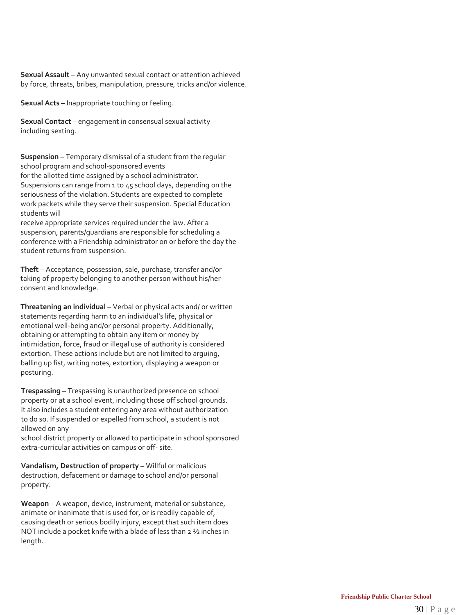**Sexual Assault** – Any unwanted sexual contact or attention achieved by force, threats, bribes, manipulation, pressure, tricks and/or violence.

**Sexual Acts** – Inappropriate touching or feeling.

**Sexual Contact** – engagement in consensual sexual activity including sexting.

**Suspension** – Temporary dismissal of a student from the regular school program and school-sponsored events

for the allotted time assigned by a school administrator. Suspensions can range from 1 to 45 school days, depending on the seriousness of the violation. Students are expected to complete work packets while they serve their suspension. Special Education students will

receive appropriate services required under the law. After a suspension, parents/guardians are responsible for scheduling a conference with a Friendship administrator on or before the day the student returns from suspension.

**Theft** – Acceptance, possession, sale, purchase, transfer and/or taking of property belonging to another person without his/her consent and knowledge.

**Threatening an individual** – Verbal or physical acts and/ or written statements regarding harm to an individual's life, physical or emotional well-being and/or personal property. Additionally, obtaining or attempting to obtain any item or money by intimidation, force, fraud or illegal use of authority is considered extortion. These actions include but are not limited to arguing, balling up fist, writing notes, extortion, displaying a weapon or posturing.

**Trespassing** – Trespassing is unauthorized presence on school property or at a school event, including those off school grounds. It also includes a student entering any area without authorization to do so. If suspended or expelled from school, a student is not allowed on any

school district property or allowed to participate in school sponsored extra-curricular activities on campus or off- site.

**Vandalism, Destruction of property** – Willful or malicious destruction, defacement or damage to school and/or personal property.

**Weapon** – A weapon, device, instrument, material or substance, animate or inanimate that is used for, or is readily capable of, causing death or serious bodily injury, except that such item does NOT include a pocket knife with a blade of less than 2 ½ inches in length.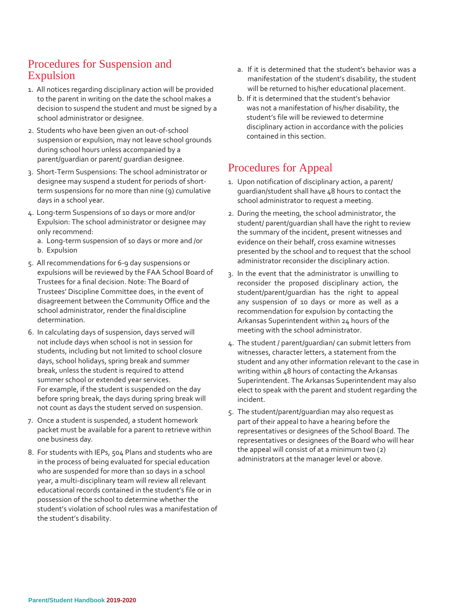## Procedures for Suspension and Expulsion

- 1. All notices regarding disciplinary action will be provided to the parent in writing on the date the school makes a decision to suspend the student and must be signed by a school administrator or designee.
- 2. Students who have been given an out-of-school suspension or expulsion, may not leave school grounds during school hours unless accompanied by a parent/guardian or parent/ guardian designee.
- 3. Short-Term Suspensions: The school administrator or designee may suspend a student for periods of shortterm suspensions for no more than nine (9) cumulative days in a school year.
- 4. Long-term Suspensions of 10 days or more and/or Expulsion: The school administrator or designee may only recommend:
	- a. Long-term suspension of 10 days or more and /or
	- b. Expulsion
- 5. All recommendations for 6-9 day suspensions or expulsions will be reviewed by the FAA School Board of Trustees for a final decision. Note: The Board of Trustees' Discipline Committee does, in the event of disagreement between the Community Office and the school administrator, render the finaldiscipline determination.
- 6. In calculating days of suspension, days served will not include days when school is not in session for students, including but not limited to school closure days, school holidays, spring break and summer break, unless the student is required to attend summer school or extended year services. For example, if the student is suspended on the day before spring break, the days during spring break will not count as days the student served on suspension.
- 7. Once a student is suspended, a student homework packet must be available for a parent to retrieve within one business day.
- 8. For students with IEPs, 504 Plans and students who are in the process of being evaluated for special education who are suspended for more than 10 days in a school year, a multi-disciplinary team will review all relevant educational records contained in the student's file or in possession of the school to determine whether the student's violation of school rules was a manifestation of the student's disability.
- a. If it is determined that the student's behavior was a manifestation of the student's disability, the student will be returned to his/her educational placement.
- b. If it is determined that the student's behavior was not a manifestation of his/her disability, the student's file will be reviewed to determine disciplinary action in accordance with the policies contained in this section.

## Procedures for Appeal

- 1. Upon notification of disciplinary action, a parent/ guardian/student shall have 48 hours to contact the school administrator to request a meeting.
- 2. During the meeting, the school administrator, the student/ parent/guardian shall have the right to review the summary of the incident, present witnesses and evidence on their behalf, cross examine witnesses presented by the school and to request that the school administrator reconsider the disciplinary action.
- 3. In the event that the administrator is unwilling to reconsider the proposed disciplinary action, the student/parent/guardian has the right to appeal any suspension of 10 days or more as well as a recommendation for expulsion by contacting the Arkansas Superintendent within 24 hours of the meeting with the school administrator.
- 4. The student / parent/guardian/ can submit letters from witnesses, character letters, a statement from the student and any other information relevant to the case in writing within 48 hours of contacting the Arkansas Superintendent. The Arkansas Superintendent may also elect to speak with the parent and student regarding the incident.
- 5. The student/parent/guardian may also request as part of their appeal to have a hearing before the representatives or designees of the School Board. The representatives or designees of the Board who will hear the appeal will consist of at a minimum two (2) administrators at the manager level or above.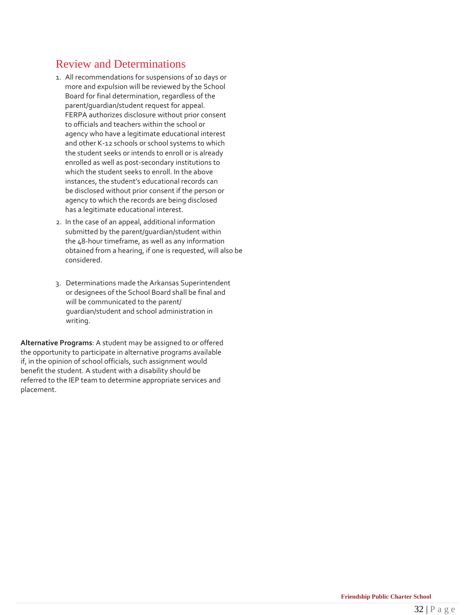## Review and Determinations

- 1. All recommendations for suspensions of 10 days or more and expulsion will be reviewed by the School Board for final determination, regardless of the parent/guardian/student request for appeal. FERPA authorizes disclosure without prior consent to officials and teachers within the school or agency who have a legitimate educational interest and other K-12 schools or school systems to which the student seeks or intends to enroll or is already enrolled as well as post-secondary institutions to which the student seeks to enroll. In the above instances, the student's educational records can be disclosed without prior consent if the person or agency to which the records are being disclosed has a legitimate educational interest.
- 2. In the case of an appeal, additional information submitted by the parent/guardian/student within the 48-hour timeframe, as well as any information obtained from a hearing, if one is requested, will also be considered.
- 3. Determinations made the Arkansas Superintendent or designees of the School Board shall be final and will be communicated to the parent/ guardian/student and school administration in writing.

**Alternative Programs**: A student may be assigned to or offered the opportunity to participate in alternative programs available if, in the opinion of school officials, such assignment would benefit the student. A student with a disability should be referred to the IEP team to determine appropriate services and placement.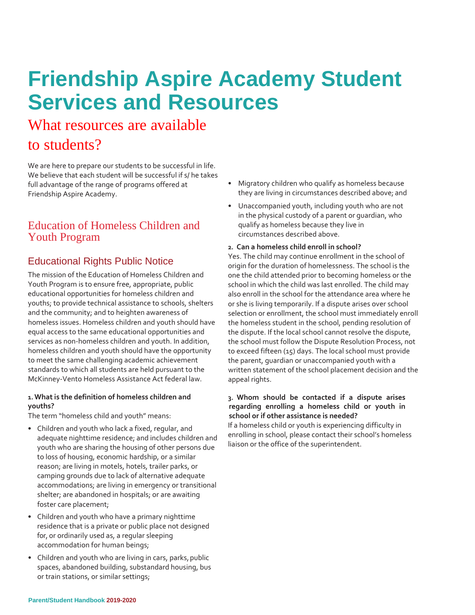## **Friendship Aspire Academy Student Services and Resources**

## What resources are available

## to students?

We are here to prepare our students to be successful in life. We believe that each student will be successful if s/ he takes full advantage of the range of programs offered at Friendship Aspire Academy.

## Education of Homeless Children and Youth Program

## Educational Rights Public Notice

The mission of the Education of Homeless Children and Youth Program is to ensure free, appropriate, public educational opportunities for homeless children and youths; to provide technical assistance to schools, shelters and the community; and to heighten awareness of homeless issues. Homeless children and youth should have equal access to the same educational opportunities and services as non-homeless children and youth. In addition, homeless children and youth should have the opportunity to meet the same challenging academic achievement standards to which all students are held pursuant to the McKinney-Vento Homeless Assistance Act federal law.

### **1.What is the definition of homeless children and youths?**

The term "homeless child and youth" means:

- Children and youth who lack a fixed, regular, and adequate nighttime residence; and includes children and youth who are sharing the housing of other persons due to loss of housing, economic hardship, or a similar reason; are living in motels, hotels, trailer parks, or camping grounds due to lack of alternative adequate accommodations; are living in emergency or transitional shelter; are abandoned in hospitals; or are awaiting foster care placement;
- Children and youth who have a primary nighttime residence that is a private or public place not designed for, or ordinarily used as, a regular sleeping accommodation for human beings;
- Children and youth who are living in cars, parks, public spaces, abandoned building, substandard housing, bus or train stations, or similar settings;
- Migratory children who qualify as homeless because they are living in circumstances described above; and
- Unaccompanied youth, including youth who are not in the physical custody of a parent or guardian, who qualify as homeless because they live in circumstances described above.

### **2. Can a homeless child enroll in school?**

Yes. The child may continue enrollment in the school of origin for the duration of homelessness. The school is the one the child attended prior to becoming homeless or the school in which the child was last enrolled. The child may also enroll in the school for the attendance area where he or she is living temporarily. If a dispute arises over school selection or enrollment, the school must immediately enroll the homeless student in the school, pending resolution of the dispute. If the local school cannot resolve the dispute, the school must follow the Dispute Resolution Process, not to exceed fifteen (15) days. The local school must provide the parent, guardian or unaccompanied youth with a written statement of the school placement decision and the appeal rights.

### **3. Whom should be contacted if a dispute arises regarding enrolling a homeless child or youth in school or if other assistance is needed?**

If a homeless child or youth is experiencing difficulty in enrolling in school, please contact their school's homeless liaison or the office of the superintendent.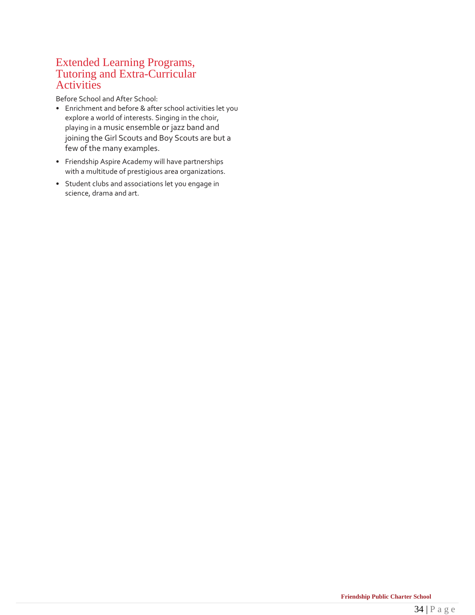## Extended Learning Programs, Tutoring and Extra-Curricular Activities

Before School and After School:

- Enrichment and before & after school activities let you explore a world of interests. Singing in the choir, playing in a music ensemble or jazz band and joining the Girl Scouts and Boy Scouts are but a few of the many examples.
- Friendship Aspire Academy will have partnerships with a multitude of prestigious area organizations.
- Student clubs and associations let you engage in science, drama and art.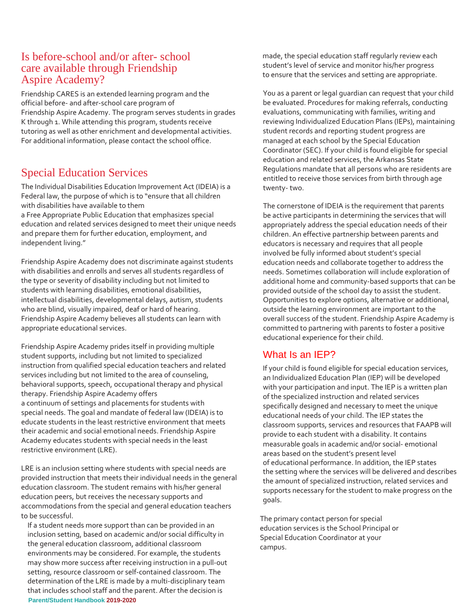## Is before-school and/or after- school care available through Friendship Aspire Academy?

Friendship CARES is an extended learning program and the official before- and after-school care program of Friendship Aspire Academy. The program serves students in grades K through 1. While attending this program, students receive tutoring as well as other enrichment and developmental activities. For additional information, please contact the school office.

## Special Education Services

The Individual Disabilities Education Improvement Act (IDEIA) is a Federal law, the purpose of which is to "ensure that all children with disabilities have available to them

a Free Appropriate Public Education that emphasizes special education and related services designed to meet their unique needs and prepare them for further education, employment, and independent living."

Friendship Aspire Academy does not discriminate against students with disabilities and enrolls and serves all students regardless of the type or severity of disability including but not limited to students with learning disabilities, emotional disabilities, intellectual disabilities, developmental delays, autism, students who are blind, visually impaired, deaf or hard of hearing. Friendship Aspire Academy believes all students can learn with appropriate educational services.

Friendship Aspire Academy prides itself in providing multiple student supports, including but not limited to specialized instruction from qualified special education teachers and related services including but not limited to the area of counseling, behavioral supports, speech, occupational therapy and physical therapy. Friendship Aspire Academy offers a continuum of settings and placements for students with special needs. The goal and mandate of federal law (IDEIA) is to educate students in the least restrictive environment that meets their academic and social emotional needs. Friendship Aspire Academy educates students with special needs in the least restrictive environment (LRE).

LRE is an inclusion setting where students with special needs are provided instruction that meets their individual needs in the general education classroom. The student remains with his/her general education peers, but receives the necessary supports and accommodations from the special and general education teachers to be successful.

**Parent/Student Handbook 2019-2020** If a student needs more support than can be provided in an inclusion setting, based on academic and/or social difficulty in the general education classroom, additional classroom environments may be considered. For example, the students may show more success after receiving instruction in a pull-out setting, resource classroom or self-contained classroom. The determination of the LRE is made by a multi-disciplinary team that includes school staff and the parent. After the decision is

made, the special education staff regularly review each student's level of service and monitor his/her progress to ensure that the services and setting are appropriate.

You as a parent or legal guardian can request that your child be evaluated. Procedures for making referrals, conducting evaluations, communicating with families, writing and reviewing Individualized Education Plans (IEPs), maintaining student records and reporting student progress are managed at each school by the Special Education Coordinator (SEC). If your child is found eligible for special education and related services, the Arkansas State Regulations mandate that all persons who are residents are entitled to receive those services from birth through age twenty- two.

The cornerstone of IDEIA is the requirement that parents be active participants in determining the services that will appropriately address the special education needs of their children. An effective partnership between parents and educators is necessary and requires that all people involved be fully informed about student's special education needs and collaborate together to address the needs. Sometimes collaboration will include exploration of additional home and community-based supports that can be provided outside of the school day to assist the student. Opportunities to explore options, alternative or additional, outside the learning environment are important to the overall success of the student. Friendship Aspire Academy is committed to partnering with parents to foster a positive educational experience for their child.

### What Is an IEP?

If your child is found eligible for special education services, an Individualized Education Plan (IEP) will be developed with your participation and input. The IEP is a written plan of the specialized instruction and related services specifically designed and necessary to meet the unique educational needs of your child. The IEP states the classroom supports, services and resources that FAAPB will provide to each student with a disability. It contains measurable goals in academic and/or social- emotional areas based on the student's present level of educational performance. In addition, the IEP states the setting where the services will be delivered and describes the amount of specialized instruction, related services and supports necessary for the student to make progress on the goals.

The primary contact person for special education services is the School Principal or Special Education Coordinator at your campus.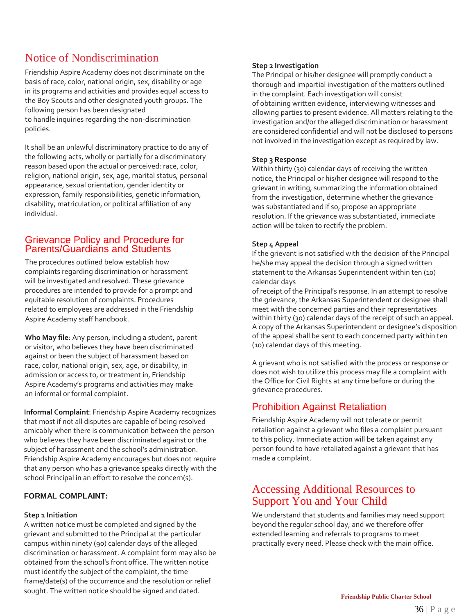## Notice of Nondiscrimination

Friendship Aspire Academy does not discriminate on the basis of race, color, national origin, sex, disability or age in its programs and activities and provides equal access to the Boy Scouts and other designated youth groups. The following person has been designated to handle inquiries regarding the non-discrimination policies.

It shall be an unlawful discriminatory practice to do any of the following acts, wholly or partially for a discriminatory reason based upon the actual or perceived: race, color, religion, national origin, sex, age, marital status, personal appearance, sexual orientation, gender identity or expression, family responsibilities, genetic information, disability, matriculation, or political affiliation of any individual.

### Grievance Policy and Procedure for Parents/Guardians and Students

The procedures outlined below establish how complaints regarding discrimination or harassment will be investigated and resolved. These grievance procedures are intended to provide for a prompt and equitable resolution of complaints. Procedures related to employees are addressed in the Friendship Aspire Academy staff handbook.

**Who May file**: Any person, including a student, parent or visitor, who believes they have been discriminated against or been the subject of harassment based on race, color, national origin, sex, age, or disability, in admission or access to, or treatment in, Friendship Aspire Academy's programs and activities may make an informal or formal complaint.

**Informal Complaint**: Friendship Aspire Academy recognizes that most if not all disputes are capable of being resolved amicably when there is communication between the person who believes they have been discriminated against or the subject of harassment and the school's administration. Friendship Aspire Academy encourages but does not require that any person who has a grievance speaks directly with the school Principal in an effort to resolve the concern(s).

### **FORMAL COMPLAINT:**

### **Step 1 Initiation**

A written notice must be completed and signed by the grievant and submitted to the Principal at the particular campus within ninety (90) calendar days of the alleged discrimination or harassment. A complaint form may also be obtained from the school's front office. The written notice must identify the subject of the complaint, the time frame/date(s) of the occurrence and the resolution or relief sought. The written notice should be signed and dated.

### **Step 2 Investigation**

The Principal or his/her designee will promptly conduct a thorough and impartial investigation of the matters outlined in the complaint. Each investigation will consist of obtaining written evidence, interviewing witnesses and allowing parties to present evidence. All matters relating to the investigation and/or the alleged discrimination or harassment are considered confidential and will not be disclosed to persons not involved in the investigation except as required by law.

### **Step 3 Response**

Within thirty (30) calendar days of receiving the written notice, the Principal or his/her designee will respond to the grievant in writing, summarizing the information obtained from the investigation, determine whether the grievance was substantiated and if so, propose an appropriate resolution. If the grievance was substantiated, immediate action will be taken to rectify the problem.

### **Step 4 Appeal**

If the grievant is not satisfied with the decision of the Principal he/she may appeal the decision through a signed written statement to the Arkansas Superintendent within ten (10) calendar days

of receipt of the Principal's response. In an attempt to resolve the grievance, the Arkansas Superintendent or designee shall meet with the concerned parties and their representatives within thirty (30) calendar days of the receipt of such an appeal. A copy of the Arkansas Superintendent or designee's disposition of the appeal shall be sent to each concerned party within ten (10) calendar days of this meeting.

A grievant who is not satisfied with the process or response or does not wish to utilize this process may file a complaint with the Office for Civil Rights at any time before or during the grievance procedures.

## Prohibition Against Retaliation

Friendship Aspire Academy will not tolerate or permit retaliation against a grievant who files a complaint pursuant to this policy. Immediate action will be taken against any person found to have retaliated against a grievant that has made a complaint.

## Accessing Additional Resources to Support You and Your Child

We understand that students and families may need support beyond the regular school day, and we therefore offer extended learning and referrals to programs to meet practically every need. Please check with the main office.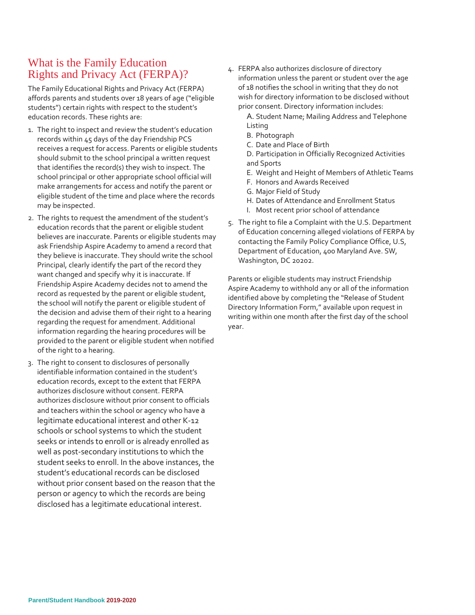## What is the Family Education Rights and Privacy Act (FERPA)?

The Family Educational Rights and Privacy Act (FERPA) affords parents and students over 18 years of age ("eligible students") certain rights with respect to the student's education records. These rights are:

- 1. The right to inspect and review the student's education records within 45 days of the day Friendship PCS receives a request for access. Parents or eligible students should submit to the school principal a written request that identifies the record(s) they wish to inspect. The school principal or other appropriate school official will make arrangements for access and notify the parent or eligible student of the time and place where the records may be inspected.
- 2. The rights to request the amendment of the student's education records that the parent or eligible student believes are inaccurate. Parents or eligible students may ask Friendship Aspire Academy to amend a record that they believe is inaccurate. They should write the school Principal, clearly identify the part of the record they want changed and specify why it is inaccurate. If Friendship Aspire Academy decides not to amend the record as requested by the parent or eligible student, the school will notify the parent or eligible student of the decision and advise them of their right to a hearing regarding the request for amendment. Additional information regarding the hearing procedures will be provided to the parent or eligible student when notified of the right to a hearing.
- 3. The right to consent to disclosures of personally identifiable information contained in the student's education records, except to the extent that FERPA authorizes disclosure without consent. FERPA authorizes disclosure without prior consent to officials and teachers within the school or agency who have a legitimate educational interest and other K-12 schools or school systems to which the student seeks or intends to enroll or is already enrolled as well as post-secondary institutions to which the student seeks to enroll. In the above instances, the student's educational records can be disclosed without prior consent based on the reason that the person or agency to which the records are being disclosed has a legitimate educational interest.
- 4. FERPA also authorizes disclosure of directory information unless the parent or student over the age of 18 notifies the school in writing that they do not wish for directory information to be disclosed without prior consent. Directory information includes:
	- A. Student Name; Mailing Address and Telephone Listing
	- B. Photograph
	- C. Date and Place of Birth

D. Participation in Officially Recognized Activities and Sports

- E. Weight and Height of Members of Athletic Teams
- F. Honors and Awards Received
- G. Major Field of Study
- H. Dates of Attendance and Enrollment Status
- I. Most recent prior school of attendance
- 5. The right to file a Complaint with the U.S. Department of Education concerning alleged violations of FERPA by contacting the Family Policy Compliance Office, U.S, Department of Education, 400 Maryland Ave. SW, Washington, DC 20202.

Parents or eligible students may instruct Friendship Aspire Academy to withhold any or all of the information identified above by completing the "Release of Student Directory Information Form," available upon request in writing within one month after the first day of the school year.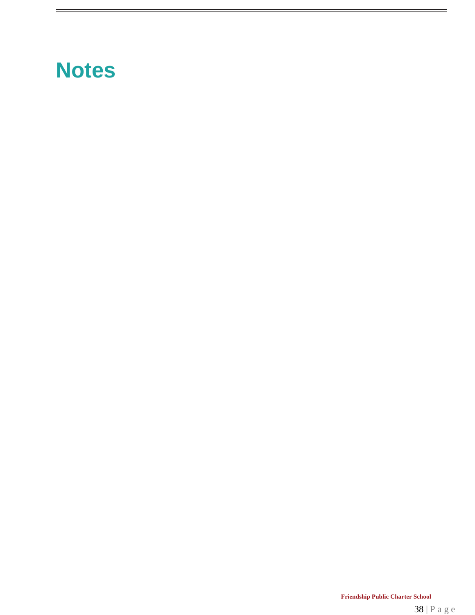## **Notes**

E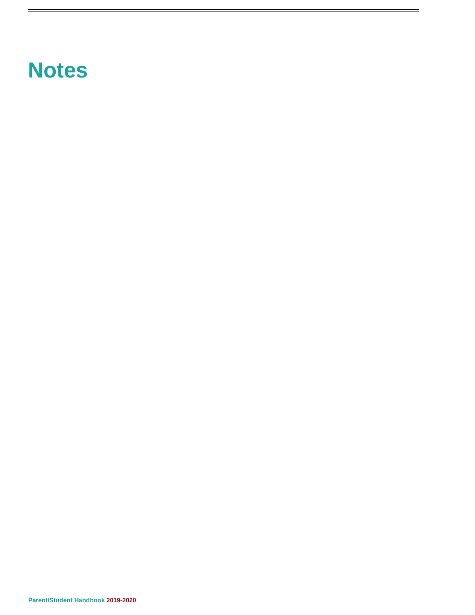## **Notes**

 $=$